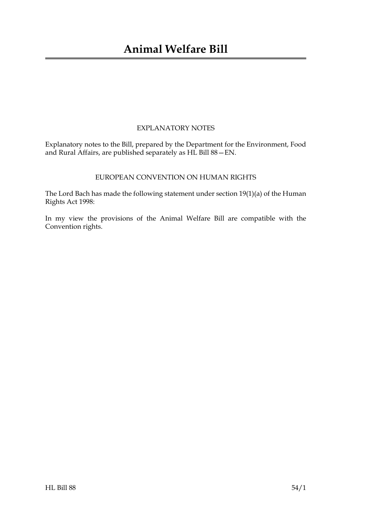### EXPLANATORY NOTES

Explanatory notes to the Bill, prepared by the Department for the Environment, Food and Rural Affairs, are published separately as HL Bill 88—EN.

### EUROPEAN CONVENTION ON HUMAN RIGHTS

The Lord Bach has made the following statement under section 19(1)(a) of the Human Rights Act 1998:

In my view the provisions of the Animal Welfare Bill are compatible with the Convention rights.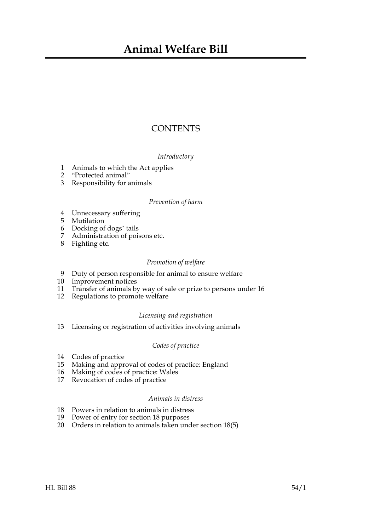## **CONTENTS**

### *Introductory*

- 1 Animals to which the Act applies
- 2 "Protected animal"
- 3 Responsibility for animals

### *Prevention of harm*

- 4 Unnecessary suffering
- 5 Mutilation
- 6 Docking of dogs' tails
- 7 Administration of poisons etc.
- 8 Fighting etc.

### *Promotion of welfare*

- 9 Duty of person responsible for animal to ensure welfare
- 10 Improvement notices
- 11 Transfer of animals by way of sale or prize to persons under 16
- 12 Regulations to promote welfare

### *Licensing and registration*

13 Licensing or registration of activities involving animals

### *Codes of practice*

- 14 Codes of practice
- 15 Making and approval of codes of practice: England
- 16 Making of codes of practice: Wales
- 17 Revocation of codes of practice

### *Animals in distress*

- 18 Powers in relation to animals in distress
- 19 Power of entry for section 18 purposes
- 20 Orders in relation to animals taken under section 18(5)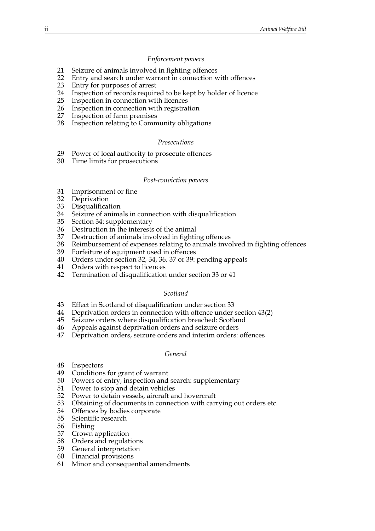#### *Enforcement powers*

- 21 Seizure of animals involved in fighting offences
- 22 Entry and search under warrant in connection with offences
- 23 Entry for purposes of arrest
- 24 Inspection of records required to be kept by holder of licence
- 25 Inspection in connection with licences
- 26 Inspection in connection with registration
- 27 Inspection of farm premises
- 28 Inspection relating to Community obligations

#### *Prosecutions*

- 29 Power of local authority to prosecute offences
- 30 Time limits for prosecutions

#### *Post-conviction powers*

- 31 Imprisonment or fine
- 32 Deprivation
- 33 Disqualification
- 34 Seizure of animals in connection with disqualification
- 35 Section 34: supplementary
- 36 Destruction in the interests of the animal
- 37 Destruction of animals involved in fighting offences
- 38 Reimbursement of expenses relating to animals involved in fighting offences
- Forfeiture of equipment used in offences
- 40 Orders under section 32, 34, 36, 37 or 39: pending appeals
- 41 Orders with respect to licences
- 42 Termination of disqualification under section 33 or 41

#### *Scotland*

- 43 Effect in Scotland of disqualification under section 33
- 44 Deprivation orders in connection with offence under section 43(2)
- 45 Seizure orders where disqualification breached: Scotland
- 46 Appeals against deprivation orders and seizure orders
- Deprivation orders, seizure orders and interim orders: offences

#### *General*

- 48 Inspectors
- 49 Conditions for grant of warrant
- 50 Powers of entry, inspection and search: supplementary
- 51 Power to stop and detain vehicles
- 52 Power to detain vessels, aircraft and hovercraft
- 53 Obtaining of documents in connection with carrying out orders etc.
- 54 Offences by bodies corporate<br>55 Scientific research
- Scientific research
- 56 Fishing
- 57 Crown application
- 58 Orders and regulations
- 59 General interpretation
- 60 Financial provisions
- 61 Minor and consequential amendments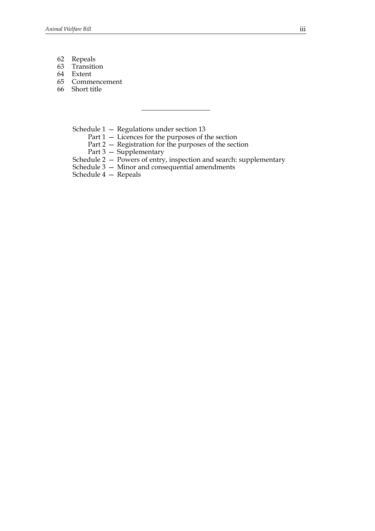- 62 Repeals
- 63 Transition
- 64 Extent
- 65 Commencement
- 66 Short title

Schedule 1 — Regulations under section 13

- Part 1 Licences for the purposes of the section
- Part 2 Registration for the purposes of the section
- Part 3 Supplementary
- Schedule 2 Powers of entry, inspection and search: supplementary
- Schedule 3 Minor and consequential amendments
- Schedule 4 Repeals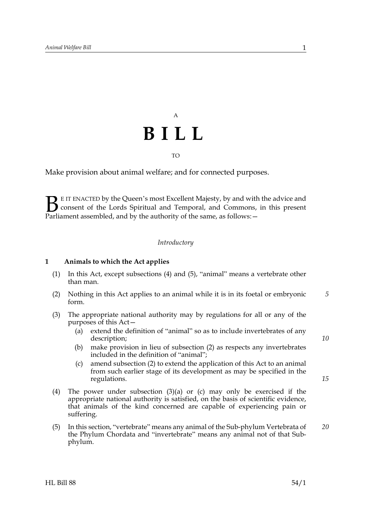# A **BILL** TO

### Make provision about animal welfare; and for connected purposes.

E IT ENACTED by the Queen's most Excellent Majesty, by and with the advice and consent of the Lords Spiritual and Temporal, and Commons, in this present **B** E IT ENACTED by the Queen's most Excellent Majesty, by and with consent of the Lords Spiritual and Temporal, and Commons, Parliament assembled, and by the authority of the same, as follows:

#### *Introductory*

#### **1 Animals to which the Act applies**

- (1) In this Act, except subsections (4) and (5), "animal" means a vertebrate other than man.
- (2) Nothing in this Act applies to an animal while it is in its foetal or embryonic form. *5*
- (3) The appropriate national authority may by regulations for all or any of the purposes of this Act—
	- (a) extend the definition of "animal" so as to include invertebrates of any description;
	- (b) make provision in lieu of subsection (2) as respects any invertebrates included in the definition of "animal";
	- (c) amend subsection (2) to extend the application of this Act to an animal from such earlier stage of its development as may be specified in the regulations.
- (4) The power under subsection (3)(a) or (c) may only be exercised if the appropriate national authority is satisfied, on the basis of scientific evidence, that animals of the kind concerned are capable of experiencing pain or suffering.
- (5) In this section, "vertebrate" means any animal of the Sub-phylum Vertebrata of the Phylum Chordata and "invertebrate" means any animal not of that Subphylum. *20*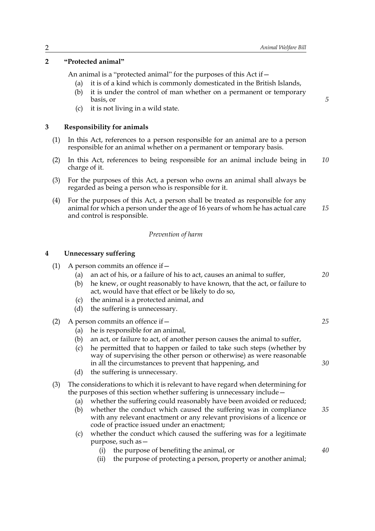### **2 "Protected animal"**

An animal is a "protected animal" for the purposes of this Act if—

- (a) it is of a kind which is commonly domesticated in the British Islands,
- (b) it is under the control of man whether on a permanent or temporary basis, or
- (c) it is not living in a wild state.

### **3 Responsibility for animals**

- (1) In this Act, references to a person responsible for an animal are to a person responsible for an animal whether on a permanent or temporary basis.
- (2) In this Act, references to being responsible for an animal include being in charge of it. *10*
- (3) For the purposes of this Act, a person who owns an animal shall always be regarded as being a person who is responsible for it.
- (4) For the purposes of this Act, a person shall be treated as responsible for any animal for which a person under the age of 16 years of whom he has actual care and control is responsible. *15*

### *Prevention of harm*

#### **4 Unnecessary suffering**

| (1) |                   | A person commits an offence if –                                                                                                                                                                                                                 |    |
|-----|-------------------|--------------------------------------------------------------------------------------------------------------------------------------------------------------------------------------------------------------------------------------------------|----|
|     | (a)<br>(b)<br>(c) | an act of his, or a failure of his to act, causes an animal to suffer,<br>he knew, or ought reasonably to have known, that the act, or failure to<br>act, would have that effect or be likely to do so,<br>the animal is a protected animal, and | 20 |
|     | (d)               | the suffering is unnecessary.                                                                                                                                                                                                                    |    |
| (2) |                   | A person commits an offence if -                                                                                                                                                                                                                 | 25 |
|     | (a)<br>(b)<br>(c) | he is responsible for an animal,<br>an act, or failure to act, of another person causes the animal to suffer,<br>he permitted that to happen or failed to take such steps (whether by                                                            |    |
|     |                   | way of supervising the other person or otherwise) as were reasonable<br>in all the circumstances to prevent that happening, and                                                                                                                  | 30 |
|     | (d)               | the suffering is unnecessary.                                                                                                                                                                                                                    |    |
| (3) | (a)               | The considerations to which it is relevant to have regard when determining for<br>the purposes of this section whether suffering is unnecessary include -<br>whether the suffering could reasonably have been avoided or reduced;                | 35 |
|     | (b)               | whether the conduct which caused the suffering was in compliance<br>with any relevant enactment or any relevant provisions of a licence or<br>code of practice issued under an enactment;                                                        |    |
|     | (c)               | whether the conduct which caused the suffering was for a legitimate<br>purpose, such as -                                                                                                                                                        |    |
|     |                   | the purpose of benefiting the animal, or<br>(i)                                                                                                                                                                                                  | 40 |
|     |                   | the purpose of protecting a person, property or another animal;<br>(i)                                                                                                                                                                           |    |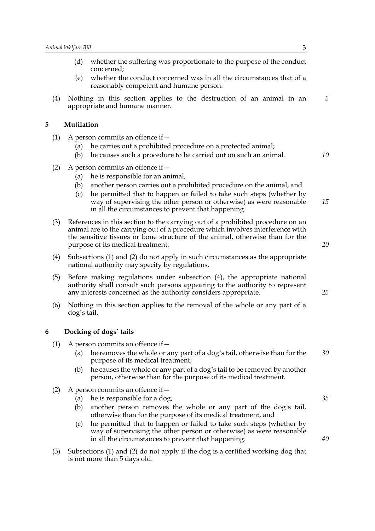|   |     | (d)               | whether the suffering was proportionate to the purpose of the conduct<br>concerned;                                                                                                                                                                                                                                                                 |    |
|---|-----|-------------------|-----------------------------------------------------------------------------------------------------------------------------------------------------------------------------------------------------------------------------------------------------------------------------------------------------------------------------------------------------|----|
|   |     | (e)               | whether the conduct concerned was in all the circumstances that of a<br>reasonably competent and humane person.                                                                                                                                                                                                                                     |    |
|   | (4) |                   | Nothing in this section applies to the destruction of an animal in an<br>appropriate and humane manner.                                                                                                                                                                                                                                             | 5  |
| 5 |     | Mutilation        |                                                                                                                                                                                                                                                                                                                                                     |    |
|   | (1) | (a)<br>(b)        | A person commits an offence if –<br>he carries out a prohibited procedure on a protected animal;<br>he causes such a procedure to be carried out on such an animal.                                                                                                                                                                                 | 10 |
|   | (2) | (a)<br>(b)<br>(c) | A person commits an offence if –<br>he is responsible for an animal,<br>another person carries out a prohibited procedure on the animal, and<br>he permitted that to happen or failed to take such steps (whether by<br>way of supervising the other person or otherwise) as were reasonable<br>in all the circumstances to prevent that happening. | 15 |
|   | (3) |                   | References in this section to the carrying out of a prohibited procedure on an<br>animal are to the carrying out of a procedure which involves interference with<br>the sensitive tissues or bone structure of the animal, otherwise than for the<br>purpose of its medical treatment.                                                              | 20 |
|   | (4) |                   | Subsections (1) and (2) do not apply in such circumstances as the appropriate<br>national authority may specify by regulations.                                                                                                                                                                                                                     |    |
|   | (5) |                   | Before making regulations under subsection (4), the appropriate national<br>authority shall consult such persons appearing to the authority to represent<br>any interests concerned as the authority considers appropriate.                                                                                                                         | 25 |
|   | (6) | dog's tail.       | Nothing in this section applies to the removal of the whole or any part of a                                                                                                                                                                                                                                                                        |    |
| 6 |     |                   | Docking of dogs' tails                                                                                                                                                                                                                                                                                                                              |    |
|   | (1) | (a)<br>(b)        | A person commits an offence if –<br>he removes the whole or any part of a dog's tail, otherwise than for the<br>purpose of its medical treatment;<br>he causes the whole or any part of a dog's tail to be removed by another<br>person, otherwise than for the purpose of its medical treatment.                                                   | 30 |
|   | (2) | (a)<br>(b)        | A person commits an offence if -<br>he is responsible for a dog,<br>another person removes the whole or any part of the dog's tail,<br>otherwise than for the purpose of its medical treatment, and<br>he permitted that to happen or failed to take such steps (whether by                                                                         | 35 |
|   |     | (c)               | way of supervising the other person or otherwise) as were reasonable<br>in all the circumstances to prevent that happening.                                                                                                                                                                                                                         | 40 |

(3) Subsections (1) and (2) do not apply if the dog is a certified working dog that is not more than 5 days old.

in all the circumstances to prevent that happening.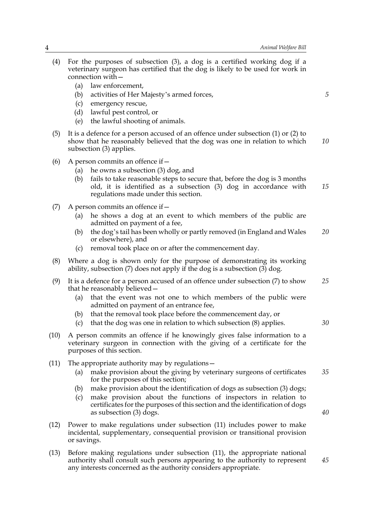(4) For the purposes of subsection (3), a dog is a certified working dog if a veterinary surgeon has certified that the dog is likely to be used for work in connection with— (a) law enforcement, (b) activities of Her Majesty's armed forces, (c) emergency rescue, (d) lawful pest control, or (e) the lawful shooting of animals. (5) It is a defence for a person accused of an offence under subsection (1) or (2) to show that he reasonably believed that the dog was one in relation to which subsection (3) applies. (6) A person commits an offence if— (a) he owns a subsection (3) dog, and (b) fails to take reasonable steps to secure that, before the dog is 3 months old, it is identified as a subsection (3) dog in accordance with regulations made under this section. (7) A person commits an offence if  $-$ (a) he shows a dog at an event to which members of the public are admitted on payment of a fee, (b) the dog's tail has been wholly or partly removed (in England and Wales or elsewhere), and (c) removal took place on or after the commencement day. (8) Where a dog is shown only for the purpose of demonstrating its working ability, subsection (7) does not apply if the dog is a subsection  $(3)$  dog. (9) It is a defence for a person accused of an offence under subsection (7) to show that he reasonably believed— (a) that the event was not one to which members of the public were admitted on payment of an entrance fee, (b) that the removal took place before the commencement day, or (c) that the dog was one in relation to which subsection (8) applies. (10) A person commits an offence if he knowingly gives false information to a veterinary surgeon in connection with the giving of a certificate for the purposes of this section. (11) The appropriate authority may by regulations— (a) make provision about the giving by veterinary surgeons of certificates for the purposes of this section; (b) make provision about the identification of dogs as subsection (3) dogs; (c) make provision about the functions of inspectors in relation to certificates for the purposes of this section and the identification of dogs as subsection (3) dogs. (12) Power to make regulations under subsection (11) includes power to make incidental, supplementary, consequential provision or transitional provision or savings. (13) Before making regulations under subsection (11), the appropriate national authority shall consult such persons appearing to the authority to represent *5 10 15 20 25 30 35 40 45*

any interests concerned as the authority considers appropriate.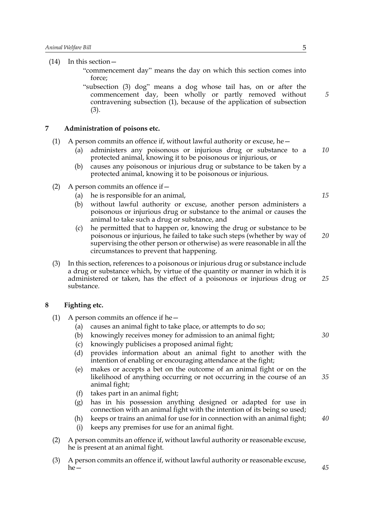(14) In this section— "commencement day" means the day on which this section comes into force; "subsection (3) dog" means a dog whose tail has, on or after the commencement day, been wholly or partly removed without contravening subsection (1), because of the application of subsection

**7 Administration of poisons etc.**

(3).

- (1) A person commits an offence if, without lawful authority or excuse, he
	- administers any poisonous or injurious drug or substance to a protected animal, knowing it to be poisonous or injurious, or *10*
	- (b) causes any poisonous or injurious drug or substance to be taken by a protected animal, knowing it to be poisonous or injurious.
- (2) A person commits an offence if—
	- (a) he is responsible for an animal,
	- (b) without lawful authority or excuse, another person administers a poisonous or injurious drug or substance to the animal or causes the animal to take such a drug or substance, and
	- (c) he permitted that to happen or, knowing the drug or substance to be poisonous or injurious, he failed to take such steps (whether by way of supervising the other person or otherwise) as were reasonable in all the circumstances to prevent that happening. *20*
- (3) In this section, references to a poisonous or injurious drug or substance include a drug or substance which, by virtue of the quantity or manner in which it is administered or taken, has the effect of a poisonous or injurious drug or substance. *25*

### **8 Fighting etc.**

- (1) A person commits an offence if he  $-$ 
	- (a) causes an animal fight to take place, or attempts to do so;
	- (b) knowingly receives money for admission to an animal fight;
	- (c) knowingly publicises a proposed animal fight;
	- (d) provides information about an animal fight to another with the intention of enabling or encouraging attendance at the fight;
	- (e) makes or accepts a bet on the outcome of an animal fight or on the likelihood of anything occurring or not occurring in the course of an animal fight; *35*
	- (f) takes part in an animal fight;
	- (g) has in his possession anything designed or adapted for use in connection with an animal fight with the intention of its being so used;
	- (h) keeps or trains an animal for use for in connection with an animal fight;
	- (i) keeps any premises for use for an animal fight.
- (2) A person commits an offence if, without lawful authority or reasonable excuse, he is present at an animal fight.
- (3) A person commits an offence if, without lawful authority or reasonable excuse,  $he-$

*15*

*5*

*30*

*40*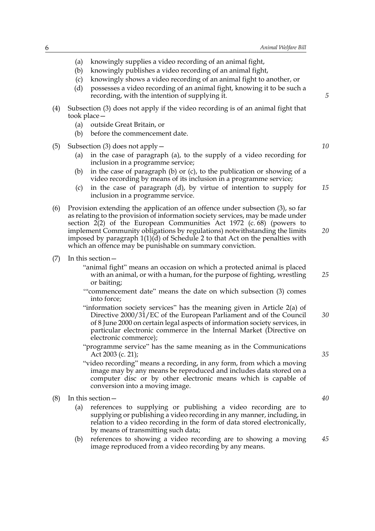- (a) knowingly supplies a video recording of an animal fight,
- (b) knowingly publishes a video recording of an animal fight,
- (c) knowingly shows a video recording of an animal fight to another, or
- (d) possesses a video recording of an animal fight, knowing it to be such a recording, with the intention of supplying it.
- (4) Subsection (3) does not apply if the video recording is of an animal fight that took place—
	- (a) outside Great Britain, or
	- (b) before the commencement date.
- (5) Subsection (3) does not apply—
	- (a) in the case of paragraph (a), to the supply of a video recording for inclusion in a programme service;
	- (b) in the case of paragraph (b) or (c), to the publication or showing of a video recording by means of its inclusion in a programme service;
	- (c) in the case of paragraph (d), by virtue of intention to supply for inclusion in a programme service. *15*
- (6) Provision extending the application of an offence under subsection (3), so far as relating to the provision of information society services, may be made under section 2(2) of the European Communities Act 1972 (c. 68) (powers to implement Community obligations by regulations) notwithstanding the limits imposed by paragraph  $1(1)(d)$  of Schedule 2 to that Act on the penalties with which an offence may be punishable on summary conviction.
- (7) In this section—
	- "animal fight" means an occasion on which a protected animal is placed with an animal, or with a human, for the purpose of fighting, wrestling or baiting;
	- '"commencement date" means the date on which subsection (3) comes into force;
	- "information society services" has the meaning given in Article 2(a) of Directive 2000/31/EC of the European Parliament and of the Council of 8 June 2000 on certain legal aspects of information society services, in particular electronic commerce in the Internal Market (Directive on electronic commerce); *30*
	- "programme service" has the same meaning as in the Communications Act 2003 (c. 21);
	- "video recording" means a recording, in any form, from which a moving image may by any means be reproduced and includes data stored on a computer disc or by other electronic means which is capable of conversion into a moving image.
- (8) In this section—
	- (a) references to supplying or publishing a video recording are to supplying or publishing a video recording in any manner, including, in relation to a video recording in the form of data stored electronically, by means of transmitting such data;
	- (b) references to showing a video recording are to showing a moving image reproduced from a video recording by any means. *45*

*10*

*5*

*20*

*25*

*35*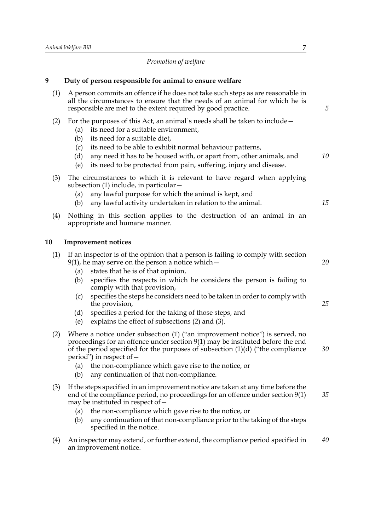## *Promotion of welfare*

## **9 Duty of person responsible for animal to ensure welfare**

| (1) | A person commits an offence if he does not take such steps as are reasonable in<br>all the circumstances to ensure that the needs of an animal for which he is<br>responsible are met to the extent required by good practice.                                                                                                                                                                                                                                                                                                          | 5        |
|-----|-----------------------------------------------------------------------------------------------------------------------------------------------------------------------------------------------------------------------------------------------------------------------------------------------------------------------------------------------------------------------------------------------------------------------------------------------------------------------------------------------------------------------------------------|----------|
| (2) | For the purposes of this Act, an animal's needs shall be taken to include –<br>its need for a suitable environment,<br>(a)<br>its need for a suitable diet,<br>(b)<br>its need to be able to exhibit normal behaviour patterns,<br>(c)<br>any need it has to be housed with, or apart from, other animals, and<br>(d)<br>its need to be protected from pain, suffering, injury and disease.<br>(e)                                                                                                                                      | 10       |
| (3) | The circumstances to which it is relevant to have regard when applying<br>subsection $(1)$ include, in particular $-$<br>any lawful purpose for which the animal is kept, and<br>(a)<br>any lawful activity undertaken in relation to the animal.<br>(b)                                                                                                                                                                                                                                                                                | 15       |
| (4) | Nothing in this section applies to the destruction of an animal in an<br>appropriate and humane manner.                                                                                                                                                                                                                                                                                                                                                                                                                                 |          |
| 10  | <b>Improvement notices</b>                                                                                                                                                                                                                                                                                                                                                                                                                                                                                                              |          |
| (1) | If an inspector is of the opinion that a person is failing to comply with section<br>$9(1)$ , he may serve on the person a notice which $-$<br>states that he is of that opinion,<br>(a)<br>specifies the respects in which he considers the person is failing to<br>(b)<br>comply with that provision,<br>specifies the steps he considers need to be taken in order to comply with<br>(c)<br>the provision,<br>specifies a period for the taking of those steps, and<br>(d)<br>explains the effect of subsections (2) and (3).<br>(e) | 20<br>25 |
| (2) | Where a notice under subsection (1) ("an improvement notice") is served, no<br>proceedings for an offence under section 9(1) may be instituted before the end<br>of the period specified for the purposes of subsection $(1)(d)$ ("the compliance<br>period") in respect of $-$<br>(a) the non-compliance which gave rise to the notice, or<br>any continuation of that non-compliance.<br>(b)                                                                                                                                          | 30       |
| (3) | If the steps specified in an improvement notice are taken at any time before the<br>end of the compliance period, no proceedings for an offence under section $9(1)$<br>may be instituted in respect of $-$<br>the non-compliance which gave rise to the notice, or<br>(a)<br>any continuation of that non-compliance prior to the taking of the steps<br>(b)<br>specified in the notice.                                                                                                                                               | 35       |
| (4) | An inspector may extend, or further extend, the compliance period specified in<br>an improvement notice.                                                                                                                                                                                                                                                                                                                                                                                                                                | 40       |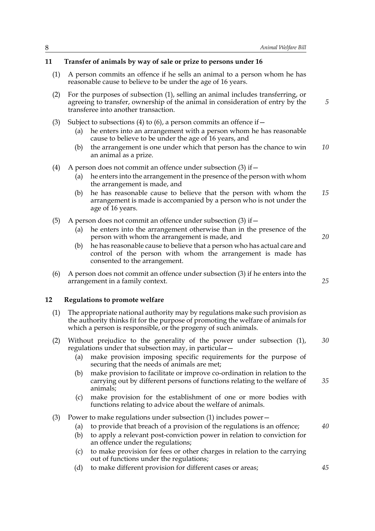#### **11 Transfer of animals by way of sale or prize to persons under 16**

- (1) A person commits an offence if he sells an animal to a person whom he has reasonable cause to believe to be under the age of 16 years.
- (2) For the purposes of subsection (1), selling an animal includes transferring, or agreeing to transfer, ownership of the animal in consideration of entry by the transferee into another transaction.
- (3) Subject to subsections (4) to (6), a person commits an offence if  $-$ 
	- (a) he enters into an arrangement with a person whom he has reasonable cause to believe to be under the age of 16 years, and
	- (b) the arrangement is one under which that person has the chance to win an animal as a prize. *10*
- (4) A person does not commit an offence under subsection  $(3)$  if  $-$ 
	- (a) he enters into the arrangement in the presence of the person with whom the arrangement is made, and
	- (b) he has reasonable cause to believe that the person with whom the arrangement is made is accompanied by a person who is not under the age of 16 years. *15*
- (5) A person does not commit an offence under subsection (3) if  $$ 
	- he enters into the arrangement otherwise than in the presence of the person with whom the arrangement is made, and
	- (b) he has reasonable cause to believe that a person who has actual care and control of the person with whom the arrangement is made has consented to the arrangement.
- (6) A person does not commit an offence under subsection (3) if he enters into the arrangement in a family context.

### **12 Regulations to promote welfare**

- (1) The appropriate national authority may by regulations make such provision as the authority thinks fit for the purpose of promoting the welfare of animals for which a person is responsible, or the progeny of such animals.
- (2) Without prejudice to the generality of the power under subsection (1), regulations under that subsection may, in particular— *30*
	- (a) make provision imposing specific requirements for the purpose of securing that the needs of animals are met;
	- (b) make provision to facilitate or improve co-ordination in relation to the carrying out by different persons of functions relating to the welfare of animals;
	- (c) make provision for the establishment of one or more bodies with functions relating to advice about the welfare of animals.
- (3) Power to make regulations under subsection (1) includes power—
	- (a) to provide that breach of a provision of the regulations is an offence;
	- (b) to apply a relevant post-conviction power in relation to conviction for an offence under the regulations;
	- (c) to make provision for fees or other charges in relation to the carrying out of functions under the regulations;
	- (d) to make different provision for different cases or areas;

*20*

*5*

*25*

*40*

*45*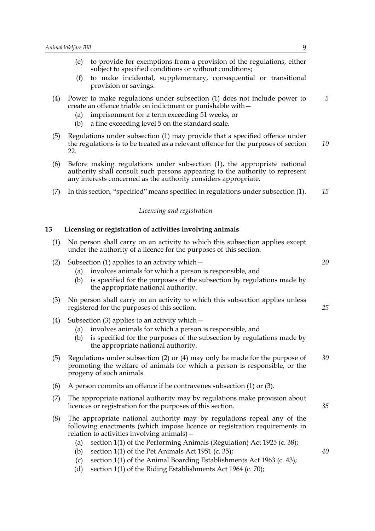|    | to provide for exemptions from a provision of the regulations, either<br>(e)<br>subject to specified conditions or without conditions;<br>to make incidental, supplementary, consequential or transitional<br>(f)<br>provision or savings.                                           |     |
|----|--------------------------------------------------------------------------------------------------------------------------------------------------------------------------------------------------------------------------------------------------------------------------------------|-----|
| 5  | Power to make regulations under subsection (1) does not include power to<br>create an offence triable on indictment or punishable with -<br>imprisonment for a term exceeding 51 weeks, or<br>(a)<br>a fine exceeding level 5 on the standard scale.<br>(b)                          | (4) |
| 10 | Regulations under subsection (1) may provide that a specified offence under<br>the regulations is to be treated as a relevant offence for the purposes of section<br>22.                                                                                                             | (5) |
|    | Before making regulations under subsection (1), the appropriate national<br>authority shall consult such persons appearing to the authority to represent<br>any interests concerned as the authority considers appropriate.                                                          | (6) |
| 15 | In this section, "specified" means specified in regulations under subsection (1).                                                                                                                                                                                                    | (7) |
|    | Licensing and registration                                                                                                                                                                                                                                                           |     |
|    | Licensing or registration of activities involving animals                                                                                                                                                                                                                            | 13  |
|    | No person shall carry on an activity to which this subsection applies except<br>under the authority of a licence for the purposes of this section.                                                                                                                                   | (1) |
| 20 | Subsection $(1)$ applies to an activity which $-$<br>involves animals for which a person is responsible, and<br>(a)<br>is specified for the purposes of the subsection by regulations made by<br>(b)<br>the appropriate national authority.                                          | (2) |
| 25 | No person shall carry on an activity to which this subsection applies unless<br>registered for the purposes of this section.                                                                                                                                                         | (3) |
|    | Subsection $(3)$ applies to an activity which $-$<br>involves animals for which a person is responsible, and<br>(a)<br>is specified for the purposes of the subsection by regulations made by<br>(b)<br>the appropriate national authority.                                          | (4) |
| 30 | Regulations under subsection $(2)$ or $(4)$ may only be made for the purpose of<br>promoting the welfare of animals for which a person is responsible, or the<br>progeny of such animals.                                                                                            | (5) |
|    | A person commits an offence if he contravenes subsection (1) or (3).                                                                                                                                                                                                                 | (6) |
| 35 | The appropriate national authority may by regulations make provision about<br>licences or registration for the purposes of this section.                                                                                                                                             | (7) |
|    | The appropriate national authority may by regulations repeal any of the<br>following enactments (which impose licence or registration requirements in<br>relation to activities involving animals) –<br>section 1(1) of the Performing Animals (Regulation) Act 1925 (c. 38);<br>(a) | (8) |

- (b) section 1(1) of the Pet Animals Act 1951 (c. 35);
- (c) section  $1(1)$  of the Animal Boarding Establishments Act 1963 (c. 43);
- (d) section 1(1) of the Riding Establishments Act 1964 (c. 70);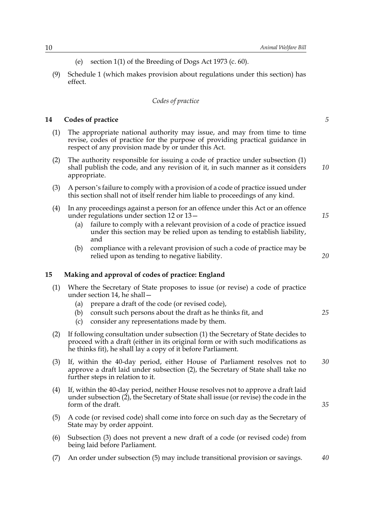- (e) section 1(1) of the Breeding of Dogs Act 1973 (c. 60).
- (9) Schedule 1 (which makes provision about regulations under this section) has effect.

### *Codes of practice*

#### **14 Codes of practice**

- (1) The appropriate national authority may issue, and may from time to time revise, codes of practice for the purpose of providing practical guidance in respect of any provision made by or under this Act.
- (2) The authority responsible for issuing a code of practice under subsection (1) shall publish the code, and any revision of it, in such manner as it considers appropriate. *10*
- (3) A person's failure to comply with a provision of a code of practice issued under this section shall not of itself render him liable to proceedings of any kind.
- (4) In any proceedings against a person for an offence under this Act or an offence under regulations under section 12 or 13—
	- (a) failure to comply with a relevant provision of a code of practice issued under this section may be relied upon as tending to establish liability, and
	- (b) compliance with a relevant provision of such a code of practice may be relied upon as tending to negative liability.

### **15 Making and approval of codes of practice: England**

- (1) Where the Secretary of State proposes to issue (or revise) a code of practice under section 14, he shall—
	- (a) prepare a draft of the code (or revised code),
	- (b) consult such persons about the draft as he thinks fit, and
	- (c) consider any representations made by them.
- (2) If following consultation under subsection (1) the Secretary of State decides to proceed with a draft (either in its original form or with such modifications as he thinks fit), he shall lay a copy of it before Parliament.
- (3) If, within the 40-day period, either House of Parliament resolves not to approve a draft laid under subsection (2), the Secretary of State shall take no further steps in relation to it. *30*
- (4) If, within the 40-day period, neither House resolves not to approve a draft laid under subsection (2), the Secretary of State shall issue (or revise) the code in the form of the draft.
- (5) A code (or revised code) shall come into force on such day as the Secretary of State may by order appoint.
- (6) Subsection (3) does not prevent a new draft of a code (or revised code) from being laid before Parliament.
- (7) An order under subsection (5) may include transitional provision or savings. *40*

*5*

*15*

*20*

*25*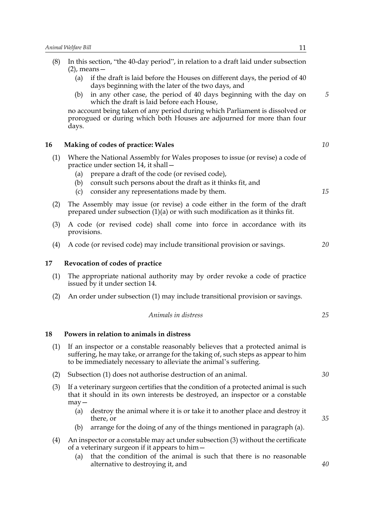| (8) | In this section, "the 40-day period", in relation to a draft laid under subsection<br>$(2)$ , means $-$                                                                                                                                                                                                   |            |
|-----|-----------------------------------------------------------------------------------------------------------------------------------------------------------------------------------------------------------------------------------------------------------------------------------------------------------|------------|
|     | if the draft is laid before the Houses on different days, the period of 40<br>(a)<br>days beginning with the later of the two days, and                                                                                                                                                                   |            |
|     | in any other case, the period of 40 days beginning with the day on<br>(b)<br>which the draft is laid before each House,                                                                                                                                                                                   | $\sqrt{5}$ |
|     | no account being taken of any period during which Parliament is dissolved or<br>prorogued or during which both Houses are adjourned for more than four<br>days.                                                                                                                                           |            |
| 16  | Making of codes of practice: Wales                                                                                                                                                                                                                                                                        | 10         |
| (1) | Where the National Assembly for Wales proposes to issue (or revise) a code of<br>practice under section 14, it shall -<br>prepare a draft of the code (or revised code),<br>(a)<br>consult such persons about the draft as it thinks fit, and<br>(b)<br>consider any representations made by them.<br>(c) | 15         |
| (2) | The Assembly may issue (or revise) a code either in the form of the draft<br>prepared under subsection $(1)(a)$ or with such modification as it thinks fit.                                                                                                                                               |            |
| (3) | A code (or revised code) shall come into force in accordance with its<br>provisions.                                                                                                                                                                                                                      |            |
| (4) | A code (or revised code) may include transitional provision or savings.                                                                                                                                                                                                                                   | 20         |
| 17  | Revocation of codes of practice                                                                                                                                                                                                                                                                           |            |
| (1) | The appropriate national authority may by order revoke a code of practice<br>issued by it under section 14.                                                                                                                                                                                               |            |
| (2) | An order under subsection (1) may include transitional provision or savings.                                                                                                                                                                                                                              |            |
|     | Animals in distress                                                                                                                                                                                                                                                                                       | 25         |
| 18  | Powers in relation to animals in distress                                                                                                                                                                                                                                                                 |            |
| (1) | If an inspector or a constable reasonably believes that a protected animal is<br>suffering, he may take, or arrange for the taking of, such steps as appear to him<br>to be immediately necessary to alleviate the animal's suffering.                                                                    |            |
| (2) | Subsection (1) does not authorise destruction of an animal.                                                                                                                                                                                                                                               | 30         |
| (3) | If a veterinary surgeon certifies that the condition of a protected animal is such                                                                                                                                                                                                                        |            |

- that it should in its own interests be destroyed, an inspector or a constable may—
	- (a) destroy the animal where it is or take it to another place and destroy it there, or
	- (b) arrange for the doing of any of the things mentioned in paragraph (a).
- (4) An inspector or a constable may act under subsection (3) without the certificate of a veterinary surgeon if it appears to him—
	- (a) that the condition of the animal is such that there is no reasonable alternative to destroying it, and

*40*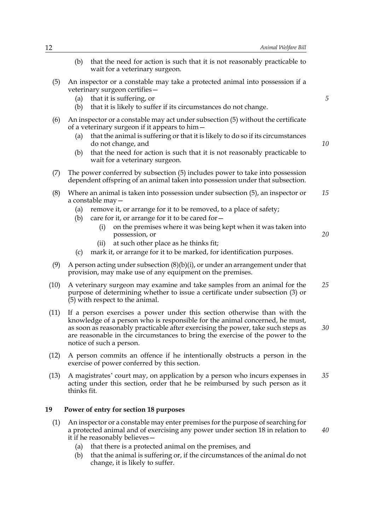- (b) that the need for action is such that it is not reasonably practicable to wait for a veterinary surgeon.
- (5) An inspector or a constable may take a protected animal into possession if a veterinary surgeon certifies—
	- (a) that it is suffering, or
	- (b) that it is likely to suffer if its circumstances do not change.
- (6) An inspector or a constable may act under subsection (5) without the certificate of a veterinary surgeon if it appears to him—
	- (a) that the animal is suffering or that it is likely to do so if its circumstances do not change, and
	- (b) that the need for action is such that it is not reasonably practicable to wait for a veterinary surgeon.
- (7) The power conferred by subsection (5) includes power to take into possession dependent offspring of an animal taken into possession under that subsection.
- (8) Where an animal is taken into possession under subsection (5), an inspector or a constable may— *15*
	- (a) remove it, or arrange for it to be removed, to a place of safety;
	- (b) care for it, or arrange for it to be cared for  $-$ 
		- (i) on the premises where it was being kept when it was taken into possession, or
		- (ii) at such other place as he thinks fit;
	- (c) mark it, or arrange for it to be marked, for identification purposes.
- (9) A person acting under subsection  $(8)(b)(i)$ , or under an arrangement under that provision, may make use of any equipment on the premises.
- (10) A veterinary surgeon may examine and take samples from an animal for the purpose of determining whether to issue a certificate under subsection (3) or (5) with respect to the animal. *25*
- (11) If a person exercises a power under this section otherwise than with the knowledge of a person who is responsible for the animal concerned, he must, as soon as reasonably practicable after exercising the power, take such steps as are reasonable in the circumstances to bring the exercise of the power to the notice of such a person. *30*
- (12) A person commits an offence if he intentionally obstructs a person in the exercise of power conferred by this section.
- (13) A magistrates' court may, on application by a person who incurs expenses in acting under this section, order that he be reimbursed by such person as it thinks fit. *35*

### **19 Power of entry for section 18 purposes**

- (1) An inspector or a constable may enter premises for the purpose of searching for a protected animal and of exercising any power under section 18 in relation to it if he reasonably believes—
- *40*

- (a) that there is a protected animal on the premises, and
- (b) that the animal is suffering or, if the circumstances of the animal do not change, it is likely to suffer.

*10*

*5*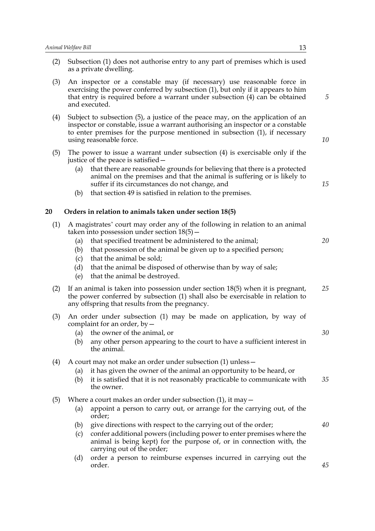| (2) | Subsection (1) does not authorise entry to any part of premises which is used<br>as a private dwelling.                                                                                                                                                                                                                                                                                                                       |    |  |  |  |
|-----|-------------------------------------------------------------------------------------------------------------------------------------------------------------------------------------------------------------------------------------------------------------------------------------------------------------------------------------------------------------------------------------------------------------------------------|----|--|--|--|
| (3) | An inspector or a constable may (if necessary) use reasonable force in<br>exercising the power conferred by subsection (1), but only if it appears to him<br>that entry is required before a warrant under subsection (4) can be obtained<br>and executed.                                                                                                                                                                    |    |  |  |  |
| (4) | Subject to subsection (5), a justice of the peace may, on the application of an<br>inspector or constable, issue a warrant authorising an inspector or a constable<br>to enter premises for the purpose mentioned in subsection (1), if necessary<br>using reasonable force.                                                                                                                                                  |    |  |  |  |
| (5) | The power to issue a warrant under subsection $(4)$ is exercisable only if the<br>justice of the peace is satisfied –<br>that there are reasonable grounds for believing that there is a protected<br>(a)<br>animal on the premises and that the animal is suffering or is likely to<br>suffer if its circumstances do not change, and<br>that section 49 is satisfied in relation to the premises.<br>(b)                    | 15 |  |  |  |
| 20  | Orders in relation to animals taken under section 18(5)                                                                                                                                                                                                                                                                                                                                                                       |    |  |  |  |
| (1) | A magistrates' court may order any of the following in relation to an animal<br>taken into possession under section $18(5)$ –<br>that specified treatment be administered to the animal;<br>(a)<br>that possession of the animal be given up to a specified person;<br>(b)<br>that the animal be sold;<br>(c)<br>that the animal be disposed of otherwise than by way of sale;<br>(d)<br>(e)<br>that the animal be destroyed. | 20 |  |  |  |
| (2) | If an animal is taken into possession under section 18(5) when it is pregnant,<br>the power conferred by subsection (1) shall also be exercisable in relation to<br>any offspring that results from the pregnancy.                                                                                                                                                                                                            | 25 |  |  |  |
| (3) | An order under subsection (1) may be made on application, by way of<br>complaint for an order, by $-$<br>(a) the owner of the animal, or<br>any other person appearing to the court to have a sufficient interest in<br>(b)<br>the animal.                                                                                                                                                                                    | 30 |  |  |  |
| (4) | A court may not make an order under subsection (1) unless –<br>it has given the owner of the animal an opportunity to be heard, or<br>(a)<br>it is satisfied that it is not reasonably practicable to communicate with<br>(b)<br>the owner.                                                                                                                                                                                   | 35 |  |  |  |
| (5) | Where a court makes an order under subsection $(1)$ , it may $-$<br>appoint a person to carry out, or arrange for the carrying out, of the<br>(a)<br>order;<br>give directions with respect to the carrying out of the order;<br>(b)<br>confer additional powers (including power to enter premises where the<br>(c)<br>animal is being kept) for the purpose of, or in connection with, the                                  | 40 |  |  |  |
|     | carrying out of the order;<br>order a person to reimburse expenses incurred in carrying out the<br>(d)<br>order.                                                                                                                                                                                                                                                                                                              | 45 |  |  |  |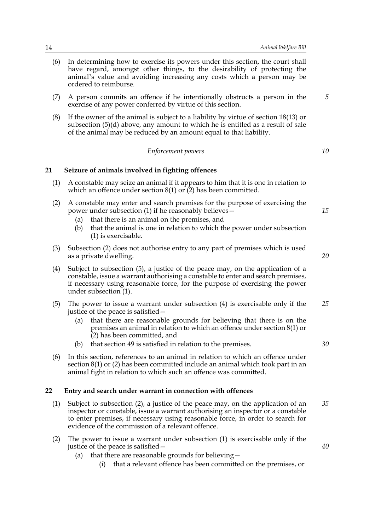- (6) In determining how to exercise its powers under this section, the court shall have regard, amongst other things, to the desirability of protecting the animal's value and avoiding increasing any costs which a person may be ordered to reimburse.
- (7) A person commits an offence if he intentionally obstructs a person in the exercise of any power conferred by virtue of this section.
- (8) If the owner of the animal is subject to a liability by virtue of section 18(13) or subsection (5)(d) above, any amount to which he is entitled as a result of sale of the animal may be reduced by an amount equal to that liability.

*Enforcement powers*

*10*

*5*

### **21 Seizure of animals involved in fighting offences**

- (1) A constable may seize an animal if it appears to him that it is one in relation to which an offence under section  $8(1)$  or  $(2)$  has been committed.
- (2) A constable may enter and search premises for the purpose of exercising the power under subsection (1) if he reasonably believes—
	- (a) that there is an animal on the premises, and
	- (b) that the animal is one in relation to which the power under subsection (1) is exercisable.
- (3) Subsection (2) does not authorise entry to any part of premises which is used as a private dwelling.
- (4) Subject to subsection (5), a justice of the peace may, on the application of a constable, issue a warrant authorising a constable to enter and search premises, if necessary using reasonable force, for the purpose of exercising the power under subsection (1).
- (5) The power to issue a warrant under subsection (4) is exercisable only if the justice of the peace is satisfied— *25*
	- (a) that there are reasonable grounds for believing that there is on the premises an animal in relation to which an offence under section 8(1) or  $(2)$  has been committed, and
	- (b) that section 49 is satisfied in relation to the premises.
- (6) In this section, references to an animal in relation to which an offence under section 8(1) or (2) has been committed include an animal which took part in an animal fight in relation to which such an offence was committed.

#### **22 Entry and search under warrant in connection with offences**

- (1) Subject to subsection (2), a justice of the peace may, on the application of an inspector or constable, issue a warrant authorising an inspector or a constable to enter premises, if necessary using reasonable force, in order to search for evidence of the commission of a relevant offence. *35*
- (2) The power to issue a warrant under subsection (1) is exercisable only if the justice of the peace is satisfied—
	- (a) that there are reasonable grounds for believing—
		- (i) that a relevant offence has been committed on the premises, or

*20*

*30*

*15*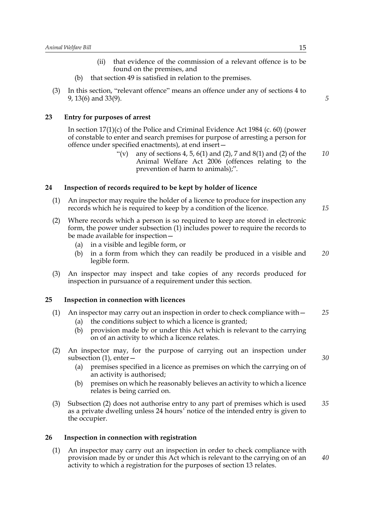- (ii) that evidence of the commission of a relevant offence is to be found on the premises, and
- (b) that section 49 is satisfied in relation to the premises.
- (3) In this section, "relevant offence" means an offence under any of sections 4 to 9, 13(6) and 33(9).

#### **23 Entry for purposes of arrest**

In section 17(1)(c) of the Police and Criminal Evidence Act 1984 (c. 60) (power of constable to enter and search premises for purpose of arresting a person for offence under specified enactments), at end insert—

> "(v) any of sections 4, 5, 6(1) and (2), 7 and 8(1) and (2) of the Animal Welfare Act 2006 (offences relating to the prevention of harm to animals);". *10*

#### **24 Inspection of records required to be kept by holder of licence**

- (1) An inspector may require the holder of a licence to produce for inspection any records which he is required to keep by a condition of the licence.
- (2) Where records which a person is so required to keep are stored in electronic form, the power under subsection (1) includes power to require the records to be made available for inspection—
	- (a) in a visible and legible form, or
	- (b) in a form from which they can readily be produced in a visible and legible form. *20*
- (3) An inspector may inspect and take copies of any records produced for inspection in pursuance of a requirement under this section.

#### **25 Inspection in connection with licences**

- (1) An inspector may carry out an inspection in order to check compliance with— *25*
	- (a) the conditions subject to which a licence is granted;
	- (b) provision made by or under this Act which is relevant to the carrying on of an activity to which a licence relates.
- (2) An inspector may, for the purpose of carrying out an inspection under subsection (1), enter—
	- (a) premises specified in a licence as premises on which the carrying on of an activity is authorised;
	- (b) premises on which he reasonably believes an activity to which a licence relates is being carried on.
- (3) Subsection (2) does not authorise entry to any part of premises which is used as a private dwelling unless 24 hours' notice of the intended entry is given to the occupier. *35*

#### **26 Inspection in connection with registration**

(1) An inspector may carry out an inspection in order to check compliance with provision made by or under this Act which is relevant to the carrying on of an activity to which a registration for the purposes of section 13 relates.

*5*

*15*

*30*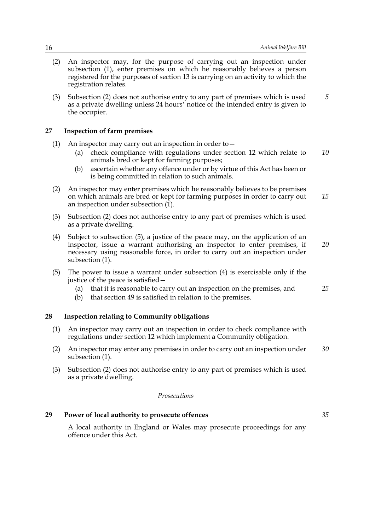- (2) An inspector may, for the purpose of carrying out an inspection under subsection (1), enter premises on which he reasonably believes a person registered for the purposes of section 13 is carrying on an activity to which the registration relates.
- (3) Subsection (2) does not authorise entry to any part of premises which is used as a private dwelling unless 24 hours' notice of the intended entry is given to the occupier. *5*

#### **27 Inspection of farm premises**

- (1) An inspector may carry out an inspection in order to—
	- (a) check compliance with regulations under section 12 which relate to animals bred or kept for farming purposes; *10*
	- (b) ascertain whether any offence under or by virtue of this Act has been or is being committed in relation to such animals.
- (2) An inspector may enter premises which he reasonably believes to be premises on which animals are bred or kept for farming purposes in order to carry out an inspection under subsection (1). *15*
- (3) Subsection (2) does not authorise entry to any part of premises which is used as a private dwelling.
- (4) Subject to subsection (5), a justice of the peace may, on the application of an inspector, issue a warrant authorising an inspector to enter premises, if necessary using reasonable force, in order to carry out an inspection under subsection (1). *20*
- (5) The power to issue a warrant under subsection (4) is exercisable only if the justice of the peace is satisfied—
	- (a) that it is reasonable to carry out an inspection on the premises, and
	- (b) that section 49 is satisfied in relation to the premises.

### **28 Inspection relating to Community obligations**

- (1) An inspector may carry out an inspection in order to check compliance with regulations under section 12 which implement a Community obligation.
- (2) An inspector may enter any premises in order to carry out an inspection under subsection (1). *30*
- (3) Subsection (2) does not authorise entry to any part of premises which is used as a private dwelling.

#### *Prosecutions*

#### **29 Power of local authority to prosecute offences**

A local authority in England or Wales may prosecute proceedings for any offence under this Act.

*25*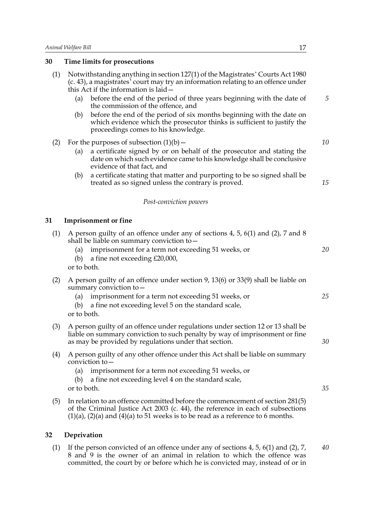### **30 Time limits for prosecutions**

| (1) | Notwithstanding anything in section 127(1) of the Magistrates' Courts Act 1980<br>(c. 43), a magistrates' court may try an information relating to an offence under<br>this Act if the information is laid -                                              |    |
|-----|-----------------------------------------------------------------------------------------------------------------------------------------------------------------------------------------------------------------------------------------------------------|----|
|     | before the end of the period of three years beginning with the date of<br>(a)<br>the commission of the offence, and                                                                                                                                       | 5  |
|     | before the end of the period of six months beginning with the date on<br>(b)<br>which evidence which the prosecutor thinks is sufficient to justify the<br>proceedings comes to his knowledge.                                                            |    |
| (2) | For the purposes of subsection $(1)(b)$ –                                                                                                                                                                                                                 | 10 |
|     | a certificate signed by or on behalf of the prosecutor and stating the<br>(a)<br>date on which such evidence came to his knowledge shall be conclusive<br>evidence of that fact, and                                                                      |    |
|     | a certificate stating that matter and purporting to be so signed shall be<br>(b)<br>treated as so signed unless the contrary is proved.                                                                                                                   | 15 |
|     | Post-conviction powers                                                                                                                                                                                                                                    |    |
| 31  | <b>Imprisonment</b> or fine                                                                                                                                                                                                                               |    |
| (1) | A person guilty of an offence under any of sections 4, 5, 6(1) and (2), 7 and 8<br>shall be liable on summary conviction to $-$                                                                                                                           |    |
|     | imprisonment for a term not exceeding 51 weeks, or<br>(a)<br>a fine not exceeding £20,000,<br>(b)<br>or to both.                                                                                                                                          | 20 |
| (2) | A person guilty of an offence under section 9, 13(6) or 33(9) shall be liable on<br>summary conviction to -                                                                                                                                               |    |
|     | imprisonment for a term not exceeding 51 weeks, or<br>(a)<br>a fine not exceeding level 5 on the standard scale,<br>(b)<br>or to both.                                                                                                                    | 25 |
|     |                                                                                                                                                                                                                                                           |    |
| (3) | A person guilty of an offence under regulations under section 12 or 13 shall be<br>liable on summary conviction to such penalty by way of imprisonment or fine<br>as may be provided by regulations under that section.                                   | 30 |
| (4) | A person guilty of any other offence under this Act shall be liable on summary<br>conviction to -                                                                                                                                                         |    |
|     | imprisonment for a term not exceeding 51 weeks, or<br>(a)                                                                                                                                                                                                 |    |
|     | a fine not exceeding level 4 on the standard scale,<br>(b)<br>or to both.                                                                                                                                                                                 | 35 |
| (5) | In relation to an offence committed before the commencement of section 281(5)<br>of the Criminal Justice Act 2003 (c. 44), the reference in each of subsections<br>$(1)(a)$ , $(2)(a)$ and $(4)(a)$ to 51 weeks is to be read as a reference to 6 months. |    |
| 32  | Deprivation                                                                                                                                                                                                                                               |    |
|     |                                                                                                                                                                                                                                                           |    |

(1) If the person convicted of an offence under any of sections 4, 5, 6(1) and (2), 7, 8 and 9 is the owner of an animal in relation to which the offence was committed, the court by or before which he is convicted may, instead of or in *40*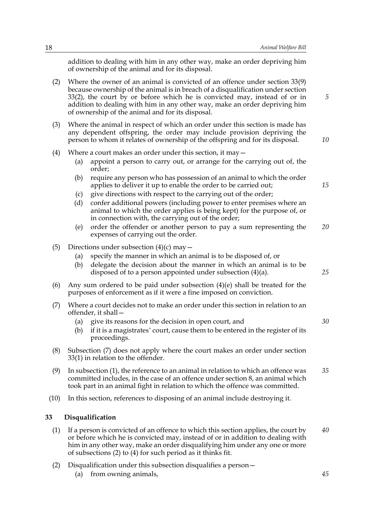addition to dealing with him in any other way, make an order depriving him of ownership of the animal and for its disposal.

- (2) Where the owner of an animal is convicted of an offence under section 33(9) because ownership of the animal is in breach of a disqualification under section 33(2), the court by or before which he is convicted may, instead of or in addition to dealing with him in any other way, make an order depriving him of ownership of the animal and for its disposal. (3) Where the animal in respect of which an order under this section is made has any dependent offspring, the order may include provision depriving the person to whom it relates of ownership of the offspring and for its disposal. (4) Where a court makes an order under this section, it may— (a) appoint a person to carry out, or arrange for the carrying out of, the order; (b) require any person who has possession of an animal to which the order applies to deliver it up to enable the order to be carried out; (c) give directions with respect to the carrying out of the order; (d) confer additional powers (including power to enter premises where an animal to which the order applies is being kept) for the purpose of, or in connection with, the carrying out of the order; (e) order the offender or another person to pay a sum representing the expenses of carrying out the order. (5) Directions under subsection  $(4)(c)$  may  $-$ (a) specify the manner in which an animal is to be disposed of, or (b) delegate the decision about the manner in which an animal is to be disposed of to a person appointed under subsection (4)(a). (6) Any sum ordered to be paid under subsection  $(4)(e)$  shall be treated for the purposes of enforcement as if it were a fine imposed on conviction. (7) Where a court decides not to make an order under this section in relation to an offender, it shall— *5 10 15 20 25*
	- (a) give its reasons for the decision in open court, and
	- (b) if it is a magistrates' court, cause them to be entered in the register of its proceedings.
- (8) Subsection (7) does not apply where the court makes an order under section 33(1) in relation to the offender.
- (9) In subsection (1), the reference to an animal in relation to which an offence was committed includes, in the case of an offence under section 8, an animal which took part in an animal fight in relation to which the offence was committed. *35*
- (10) In this section, references to disposing of an animal include destroying it.

#### **33 Disqualification**

- (1) If a person is convicted of an offence to which this section applies, the court by or before which he is convicted may, instead of or in addition to dealing with him in any other way, make an order disqualifying him under any one or more of subsections (2) to (4) for such period as it thinks fit. *40*
- (2) Disqualification under this subsection disqualifies a person—
	- (a) from owning animals,

*45*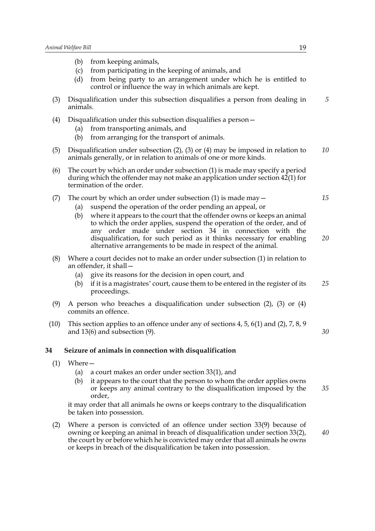- (b) from keeping animals,
- (c) from participating in the keeping of animals, and
- (d) from being party to an arrangement under which he is entitled to control or influence the way in which animals are kept.
- (3) Disqualification under this subsection disqualifies a person from dealing in animals. *5*
- (4) Disqualification under this subsection disqualifies a person—
	- (a) from transporting animals, and
	- (b) from arranging for the transport of animals.
- (5) Disqualification under subsection (2), (3) or (4) may be imposed in relation to animals generally, or in relation to animals of one or more kinds. *10*
- (6) The court by which an order under subsection (1) is made may specify a period during which the offender may not make an application under section 42(1) for termination of the order.
- (7) The court by which an order under subsection (1) is made may  $-$ 
	- (a) suspend the operation of the order pending an appeal, or
	- (b) where it appears to the court that the offender owns or keeps an animal to which the order applies, suspend the operation of the order, and of any order made under section 34 in connection with the disqualification, for such period as it thinks necessary for enabling alternative arrangements to be made in respect of the animal. *20*
- (8) Where a court decides not to make an order under subsection (1) in relation to an offender, it shall—
	- (a) give its reasons for the decision in open court, and
	- (b) if it is a magistrates' court, cause them to be entered in the register of its proceedings. *25*
- (9) A person who breaches a disqualification under subsection (2), (3) or (4) commits an offence.
- (10) This section applies to an offence under any of sections 4, 5, 6(1) and (2), 7, 8, 9 and 13(6) and subsection (9).

#### **34 Seizure of animals in connection with disqualification**

- (1) Where—
	- (a) a court makes an order under section 33(1), and
	- (b) it appears to the court that the person to whom the order applies owns or keeps any animal contrary to the disqualification imposed by the order, *35*

it may order that all animals he owns or keeps contrary to the disqualification be taken into possession.

(2) Where a person is convicted of an offence under section 33(9) because of owning or keeping an animal in breach of disqualification under section 33(2), the court by or before which he is convicted may order that all animals he owns or keeps in breach of the disqualification be taken into possession.

*40*

*30*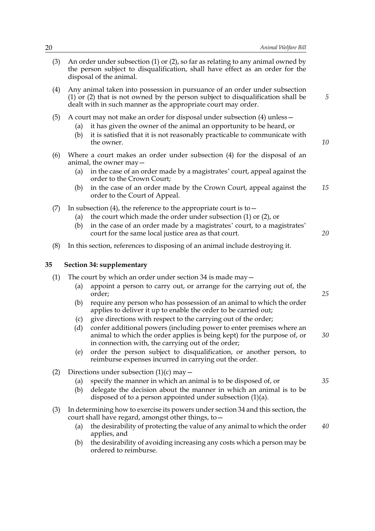- (3) An order under subsection (1) or (2), so far as relating to any animal owned by the person subject to disqualification, shall have effect as an order for the disposal of the animal. (4) Any animal taken into possession in pursuance of an order under subsection (1) or (2) that is not owned by the person subject to disqualification shall be dealt with in such manner as the appropriate court may order. (5) A court may not make an order for disposal under subsection (4) unless— (a) it has given the owner of the animal an opportunity to be heard, or (b) it is satisfied that it is not reasonably practicable to communicate with the owner. (6) Where a court makes an order under subsection (4) for the disposal of an animal, the owner may— (a) in the case of an order made by a magistrates' court, appeal against the order to the Crown Court; (b) in the case of an order made by the Crown Court, appeal against the order to the Court of Appeal. (7) In subsection (4), the reference to the appropriate court is to  $-$ (a) the court which made the order under subsection (1) or (2), or (b) in the case of an order made by a magistrates' court, to a magistrates' court for the same local justice area as that court. (8) In this section, references to disposing of an animal include destroying it. **35 Section 34: supplementary** (1) The court by which an order under section 34 is made may  $-$ (a) appoint a person to carry out, or arrange for the carrying out of, the order; (b) require any person who has possession of an animal to which the order applies to deliver it up to enable the order to be carried out; (c) give directions with respect to the carrying out of the order; (d) confer additional powers (including power to enter premises where an animal to which the order applies is being kept) for the purpose of, or in connection with, the carrying out of the order; (e) order the person subject to disqualification, or another person, to reimburse expenses incurred in carrying out the order. (2) Directions under subsection  $(1)(c)$  may  $-$ (a) specify the manner in which an animal is to be disposed of, or (b) delegate the decision about the manner in which an animal is to be disposed of to a person appointed under subsection (1)(a). (3) In determining how to exercise its powers under section 34 and this section, the court shall have regard, amongst other things, to— (a) the desirability of protecting the value of any animal to which the order applies, and *5 15 25 30 35 40*
	- (b) the desirability of avoiding increasing any costs which a person may be ordered to reimburse.

*10*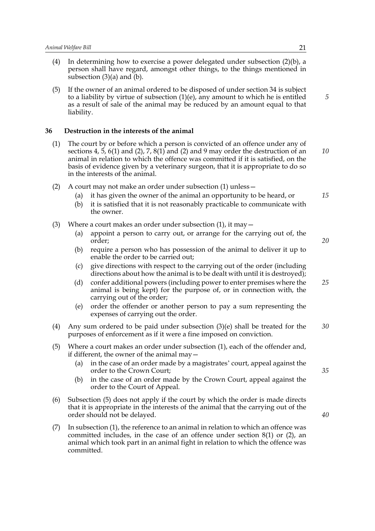- (4) In determining how to exercise a power delegated under subsection (2)(b), a person shall have regard, amongst other things, to the things mentioned in subsection  $(3)(a)$  and  $(b)$ .
- (5) If the owner of an animal ordered to be disposed of under section 34 is subject to a liability by virtue of subsection  $(1)(e)$ , any amount to which he is entitled as a result of sale of the animal may be reduced by an amount equal to that liability.

#### **36 Destruction in the interests of the animal**

- (1) The court by or before which a person is convicted of an offence under any of sections 4, 5, 6(1) and (2), 7, 8(1) and (2) and 9 may order the destruction of an animal in relation to which the offence was committed if it is satisfied, on the basis of evidence given by a veterinary surgeon, that it is appropriate to do so in the interests of the animal. *10*
- (2) A court may not make an order under subsection (1) unless—
	- (a) it has given the owner of the animal an opportunity to be heard, or
	- (b) it is satisfied that it is not reasonably practicable to communicate with the owner.
- (3) Where a court makes an order under subsection  $(1)$ , it may  $-$ 
	- (a) appoint a person to carry out, or arrange for the carrying out of, the order;
	- (b) require a person who has possession of the animal to deliver it up to enable the order to be carried out;
	- (c) give directions with respect to the carrying out of the order (including directions about how the animal is to be dealt with until it is destroyed);
	- (d) confer additional powers (including power to enter premises where the animal is being kept) for the purpose of, or in connection with, the carrying out of the order; *25*
	- (e) order the offender or another person to pay a sum representing the expenses of carrying out the order.
- (4) Any sum ordered to be paid under subsection (3)(e) shall be treated for the purposes of enforcement as if it were a fine imposed on conviction. *30*
- (5) Where a court makes an order under subsection (1), each of the offender and, if different, the owner of the animal may—
	- (a) in the case of an order made by a magistrates' court, appeal against the order to the Crown Court;
	- (b) in the case of an order made by the Crown Court, appeal against the order to the Court of Appeal.
- (6) Subsection (5) does not apply if the court by which the order is made directs that it is appropriate in the interests of the animal that the carrying out of the order should not be delayed.
- (7) In subsection (1), the reference to an animal in relation to which an offence was committed includes, in the case of an offence under section 8(1) or (2), an animal which took part in an animal fight in relation to which the offence was committed.

*5*

*15*

*20*

*35*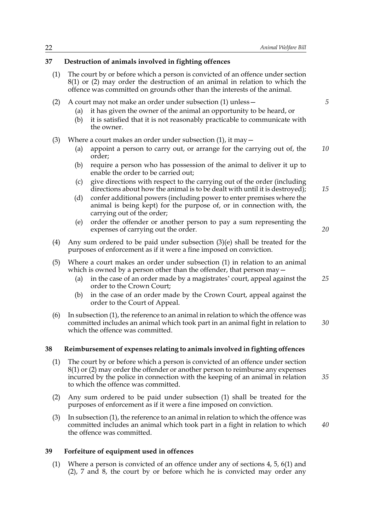*5*

*15*

*20*

### **37 Destruction of animals involved in fighting offences**

- (1) The court by or before which a person is convicted of an offence under section 8(1) or (2) may order the destruction of an animal in relation to which the offence was committed on grounds other than the interests of the animal.
- (2) A court may not make an order under subsection (1) unless—
	- (a) it has given the owner of the animal an opportunity to be heard, or
	- (b) it is satisfied that it is not reasonably practicable to communicate with the owner.
- (3) Where a court makes an order under subsection  $(1)$ , it may  $-$ 
	- (a) appoint a person to carry out, or arrange for the carrying out of, the order; *10*
	- (b) require a person who has possession of the animal to deliver it up to enable the order to be carried out;
	- (c) give directions with respect to the carrying out of the order (including directions about how the animal is to be dealt with until it is destroyed);
	- (d) confer additional powers (including power to enter premises where the animal is being kept) for the purpose of, or in connection with, the carrying out of the order;
	- (e) order the offender or another person to pay a sum representing the expenses of carrying out the order.
- (4) Any sum ordered to be paid under subsection (3)(e) shall be treated for the purposes of enforcement as if it were a fine imposed on conviction.
- (5) Where a court makes an order under subsection (1) in relation to an animal which is owned by a person other than the offender, that person may  $-$ 
	- (a) in the case of an order made by a magistrates' court, appeal against the order to the Crown Court; *25*
	- (b) in the case of an order made by the Crown Court, appeal against the order to the Court of Appeal.
- (6) In subsection (1), the reference to an animal in relation to which the offence was committed includes an animal which took part in an animal fight in relation to which the offence was committed. *30*

### **38 Reimbursement of expenses relating to animals involved in fighting offences**

- (1) The court by or before which a person is convicted of an offence under section 8(1) or (2) may order the offender or another person to reimburse any expenses incurred by the police in connection with the keeping of an animal in relation to which the offence was committed.
- (2) Any sum ordered to be paid under subsection (1) shall be treated for the purposes of enforcement as if it were a fine imposed on conviction.
- (3) In subsection (1), the reference to an animal in relation to which the offence was committed includes an animal which took part in a fight in relation to which the offence was committed.

*40*

*35*

### **39 Forfeiture of equipment used in offences**

(1) Where a person is convicted of an offence under any of sections 4, 5, 6(1) and (2), 7 and 8, the court by or before which he is convicted may order any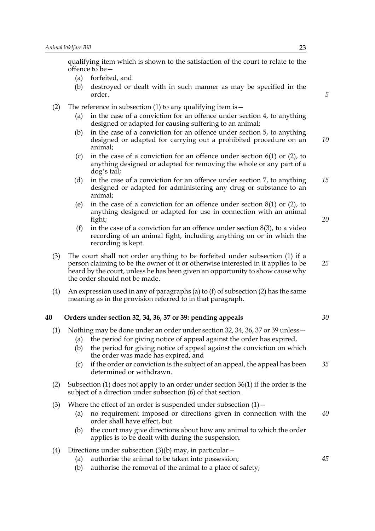qualifying item which is shown to the satisfaction of the court to relate to the offence to be—

- (a) forfeited, and
- (b) destroyed or dealt with in such manner as may be specified in the order.
- (2) The reference in subsection (1) to any qualifying item is  $-$ 
	- (a) in the case of a conviction for an offence under section 4, to anything designed or adapted for causing suffering to an animal;
	- (b) in the case of a conviction for an offence under section 5, to anything designed or adapted for carrying out a prohibited procedure on an animal; *10*
	- (c) in the case of a conviction for an offence under section 6(1) or (2), to anything designed or adapted for removing the whole or any part of a dog's tail;
	- (d) in the case of a conviction for an offence under section 7, to anything designed or adapted for administering any drug or substance to an animal; *15*
	- (e) in the case of a conviction for an offence under section 8(1) or (2), to anything designed or adapted for use in connection with an animal fight;
	- (f) in the case of a conviction for an offence under section  $8(3)$ , to a video recording of an animal fight, including anything on or in which the recording is kept.
- (3) The court shall not order anything to be forfeited under subsection (1) if a person claiming to be the owner of it or otherwise interested in it applies to be heard by the court, unless he has been given an opportunity to show cause why the order should not be made.
- (4) An expression used in any of paragraphs (a) to (f) of subsection (2) has the same meaning as in the provision referred to in that paragraph.

#### **40 Orders under section 32, 34, 36, 37 or 39: pending appeals**

- (1) Nothing may be done under an order under section 32, 34, 36, 37 or 39 unless—
	- (a) the period for giving notice of appeal against the order has expired,
		- (b) the period for giving notice of appeal against the conviction on which the order was made has expired, and
		- (c) if the order or conviction is the subject of an appeal, the appeal has been determined or withdrawn. *35*
- (2) Subsection (1) does not apply to an order under section 36(1) if the order is the subject of a direction under subsection (6) of that section.
- (3) Where the effect of an order is suspended under subsection  $(1)$  -
	- (a) no requirement imposed or directions given in connection with the order shall have effect, but *40*
	- (b) the court may give directions about how any animal to which the order applies is to be dealt with during the suspension.
- (4) Directions under subsection (3)(b) may, in particular—
	- (a) authorise the animal to be taken into possession;
	- (b) authorise the removal of the animal to a place of safety;

*5*

*30*

*20*

*25*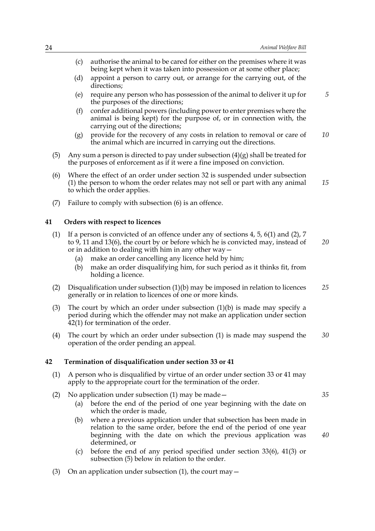|     | (c) | authorise the animal to be cared for either on the premises where it was<br>being kept when it was taken into possession or at some other place;                                                                                                                                       |    |
|-----|-----|----------------------------------------------------------------------------------------------------------------------------------------------------------------------------------------------------------------------------------------------------------------------------------------|----|
|     | (d) | appoint a person to carry out, or arrange for the carrying out, of the<br>directions;                                                                                                                                                                                                  |    |
|     | (e) | require any person who has possession of the animal to deliver it up for<br>the purposes of the directions;                                                                                                                                                                            | 5  |
|     | (f) | confer additional powers (including power to enter premises where the<br>animal is being kept) for the purpose of, or in connection with, the<br>carrying out of the directions;                                                                                                       |    |
|     | (g) | provide for the recovery of any costs in relation to removal or care of<br>the animal which are incurred in carrying out the directions.                                                                                                                                               | 10 |
| (5) |     | Any sum a person is directed to pay under subsection $(4)(g)$ shall be treated for<br>the purposes of enforcement as if it were a fine imposed on conviction.                                                                                                                          |    |
| (6) |     | Where the effect of an order under section 32 is suspended under subsection<br>(1) the person to whom the order relates may not sell or part with any animal<br>to which the order applies.                                                                                            | 15 |
| (7) |     | Failure to comply with subsection (6) is an offence.                                                                                                                                                                                                                                   |    |
| 41  |     | Orders with respect to licences                                                                                                                                                                                                                                                        |    |
| (1) | (a) | If a person is convicted of an offence under any of sections 4, 5, 6(1) and (2), 7<br>to 9, 11 and 13(6), the court by or before which he is convicted may, instead of<br>or in addition to dealing with him in any other way $-$<br>make an order cancelling any licence held by him; | 20 |
|     | (b) | make an order disqualifying him, for such period as it thinks fit, from<br>holding a licence.                                                                                                                                                                                          |    |
| (2) |     | Disqualification under subsection $(1)(b)$ may be imposed in relation to licences<br>generally or in relation to licences of one or more kinds.                                                                                                                                        | 25 |
| (3) |     | The court by which an order under subsection $(1)(b)$ is made may specify a<br>period during which the offender may not make an application under section<br>$42(1)$ for termination of the order.                                                                                     |    |
| (4) |     | The court by which an order under subsection (1) is made may suspend the<br>operation of the order pending an appeal.                                                                                                                                                                  | 30 |
| 42  |     | Termination of disqualification under section 33 or 41                                                                                                                                                                                                                                 |    |
| (1) |     | A person who is disqualified by virtue of an order under section 33 or 41 may<br>apply to the appropriate court for the termination of the order.                                                                                                                                      |    |
| (2) | (a) | No application under subsection $(1)$ may be made $-$<br>before the end of the period of one year beginning with the date on                                                                                                                                                           | 35 |

- which the order is made, (b) where a previous application under that subsection has been made in relation to the same order, before the end of the period of one year beginning with the date on which the previous application was determined, or
- (c) before the end of any period specified under section 33(6), 41(3) or subsection (5) below in relation to the order.
- (3) On an application under subsection (1), the court may  $-$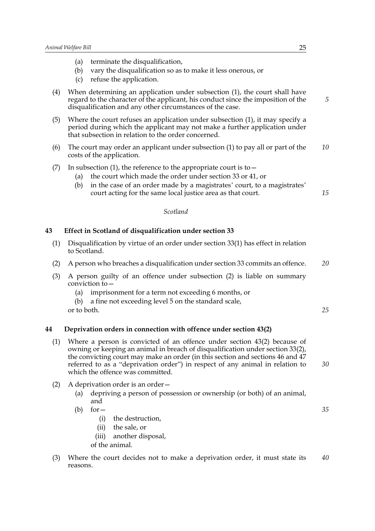*5*

*15*

| (a) |  |  | terminate the disqualification, |
|-----|--|--|---------------------------------|
|-----|--|--|---------------------------------|

- (b) vary the disqualification so as to make it less onerous, or
- (c) refuse the application.
- (4) When determining an application under subsection (1), the court shall have regard to the character of the applicant, his conduct since the imposition of the disqualification and any other circumstances of the case.
- (5) Where the court refuses an application under subsection (1), it may specify a period during which the applicant may not make a further application under that subsection in relation to the order concerned.
- (6) The court may order an applicant under subsection (1) to pay all or part of the costs of the application. *10*
- (7) In subsection (1), the reference to the appropriate court is to  $-$ 
	- (a) the court which made the order under section 33 or 41, or
	- (b) in the case of an order made by a magistrates' court, to a magistrates' court acting for the same local justice area as that court.

#### *Scotland*

### **43 Effect in Scotland of disqualification under section 33**

- (1) Disqualification by virtue of an order under section 33(1) has effect in relation to Scotland.
- (2) A person who breaches a disqualification under section 33 commits an offence. *20*
- (3) A person guilty of an offence under subsection (2) is liable on summary conviction to $-$ 
	- (a) imprisonment for a term not exceeding 6 months, or
	- (b) a fine not exceeding level 5 on the standard scale,
	- or to both.

*25*

*35*

#### **44 Deprivation orders in connection with offence under section 43(2)**

- (1) Where a person is convicted of an offence under section 43(2) because of owning or keeping an animal in breach of disqualification under section 33(2), the convicting court may make an order (in this section and sections 46 and 47 referred to as a "deprivation order") in respect of any animal in relation to which the offence was committed. *30*
- (2) A deprivation order is an order—
	- (a) depriving a person of possession or ownership (or both) of an animal, and
	- $(b)$  for  $-$ 
		- (i) the destruction,
		- (ii) the sale, or
		- (iii) another disposal,
		- of the animal.
- (3) Where the court decides not to make a deprivation order, it must state its reasons. *40*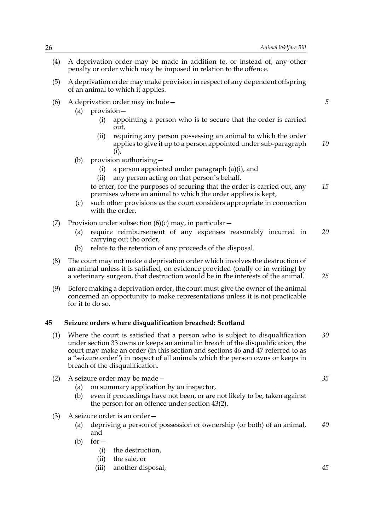- (4) A deprivation order may be made in addition to, or instead of, any other penalty or order which may be imposed in relation to the offence.
- (5) A deprivation order may make provision in respect of any dependent offspring of an animal to which it applies.
- (6) A deprivation order may include—
	- (a) provision—
		- (i) appointing a person who is to secure that the order is carried out,
		- (ii) requiring any person possessing an animal to which the order applies to give it up to a person appointed under sub-paragraph (i), *10*
	- (b) provision authorising—
		- (i) a person appointed under paragraph (a)(i), and
		- (ii) any person acting on that person's behalf,
		- to enter, for the purposes of securing that the order is carried out, any premises where an animal to which the order applies is kept, *15*
	- (c) such other provisions as the court considers appropriate in connection with the order.
- (7) Provision under subsection  $(6)(c)$  may, in particular  $-$ 
	- (a) require reimbursement of any expenses reasonably incurred in carrying out the order, *20*
	- (b) relate to the retention of any proceeds of the disposal.
- (8) The court may not make a deprivation order which involves the destruction of an animal unless it is satisfied, on evidence provided (orally or in writing) by a veterinary surgeon, that destruction would be in the interests of the animal.
- (9) Before making a deprivation order, the court must give the owner of the animal concerned an opportunity to make representations unless it is not practicable for it to do so.

#### **45 Seizure orders where disqualification breached: Scotland**

- (1) Where the court is satisfied that a person who is subject to disqualification under section 33 owns or keeps an animal in breach of the disqualification, the court may make an order (in this section and sections 46 and 47 referred to as a "seizure order") in respect of all animals which the person owns or keeps in breach of the disqualification. *30*
- (2) A seizure order may be made—
	- (a) on summary application by an inspector,
	- (b) even if proceedings have not been, or are not likely to be, taken against the person for an offence under section 43(2).
- (3) A seizure order is an order—
	- (a) depriving a person of possession or ownership (or both) of an animal, and *40*
	- $(b)$  for  $-$ 
		- (i) the destruction,
		- (ii) the sale, or
		- (iii) another disposal,

*35*

*25*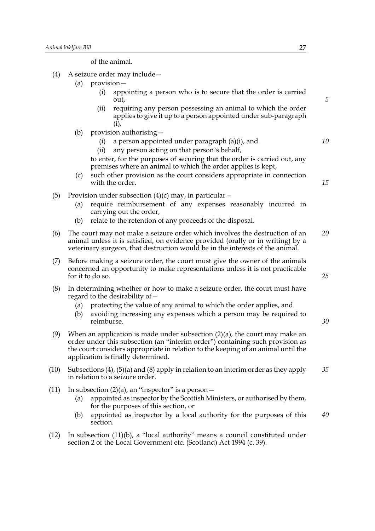of the animal.

- (4) A seizure order may include—
	- (a) provision—
		- (i) appointing a person who is to secure that the order is carried out,
		- (ii) requiring any person possessing an animal to which the order applies to give it up to a person appointed under sub-paragraph (i),
	- (b) provision authorising—
		- (i) a person appointed under paragraph (a)(i), and *10*
		- (ii) any person acting on that person's behalf,

to enter, for the purposes of securing that the order is carried out, any premises where an animal to which the order applies is kept,

- (c) such other provision as the court considers appropriate in connection with the order.
- (5) Provision under subsection  $(4)(c)$  may, in particular  $-$ 
	- (a) require reimbursement of any expenses reasonably incurred in carrying out the order,
	- (b) relate to the retention of any proceeds of the disposal.
- (6) The court may not make a seizure order which involves the destruction of an animal unless it is satisfied, on evidence provided (orally or in writing) by a veterinary surgeon, that destruction would be in the interests of the animal. *20*
- (7) Before making a seizure order, the court must give the owner of the animals concerned an opportunity to make representations unless it is not practicable for it to do so.
- (8) In determining whether or how to make a seizure order, the court must have regard to the desirability of—
	- (a) protecting the value of any animal to which the order applies, and
	- (b) avoiding increasing any expenses which a person may be required to reimburse.
- (9) When an application is made under subsection (2)(a), the court may make an order under this subsection (an "interim order") containing such provision as the court considers appropriate in relation to the keeping of an animal until the application is finally determined.
- (10) Subsections (4), (5)(a) and (8) apply in relation to an interim order as they apply in relation to a seizure order. *35*
- (11) In subsection  $(2)(a)$ , an "inspector" is a person  $-$ 
	- (a) appointed as inspector by the Scottish Ministers, or authorised by them, for the purposes of this section, or
	- (b) appointed as inspector by a local authority for the purposes of this section. *40*
- (12) In subsection (11)(b), a "local authority" means a council constituted under section 2 of the Local Government etc. (Scotland) Act 1994 (c. 39).

*5*

*15*

*25*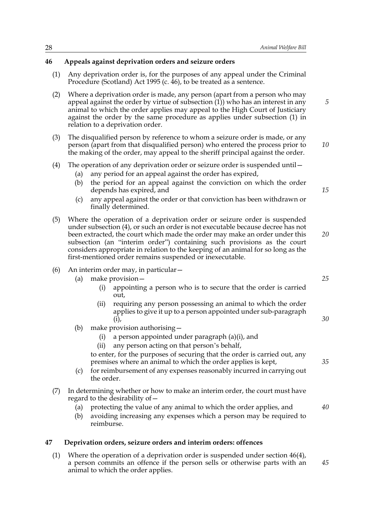### **46 Appeals against deprivation orders and seizure orders**

- (1) Any deprivation order is, for the purposes of any appeal under the Criminal Procedure (Scotland) Act 1995 (c. 46), to be treated as a sentence.
- (2) Where a deprivation order is made, any person (apart from a person who may appeal against the order by virtue of subsection (1)) who has an interest in any animal to which the order applies may appeal to the High Court of Justiciary against the order by the same procedure as applies under subsection (1) in relation to a deprivation order.
- (3) The disqualified person by reference to whom a seizure order is made, or any person (apart from that disqualified person) who entered the process prior to the making of the order, may appeal to the sheriff principal against the order. *10*

### (4) The operation of any deprivation order or seizure order is suspended until—

- (a) any period for an appeal against the order has expired,
- (b) the period for an appeal against the conviction on which the order depends has expired, and
- (c) any appeal against the order or that conviction has been withdrawn or finally determined.
- (5) Where the operation of a deprivation order or seizure order is suspended under subsection (4), or such an order is not executable because decree has not been extracted, the court which made the order may make an order under this subsection (an "interim order") containing such provisions as the court considers appropriate in relation to the keeping of an animal for so long as the first-mentioned order remains suspended or inexecutable. *20*

#### (6) An interim order may, in particular—

- (a) make provision—
	- (i) appointing a person who is to secure that the order is carried out,
	- (ii) requiring any person possessing an animal to which the order applies to give it up to a person appointed under sub-paragraph (i),
- (b) make provision authorising—
	- (i) a person appointed under paragraph (a)(i), and
	- (ii) any person acting on that person's behalf,

to enter, for the purposes of securing that the order is carried out, any premises where an animal to which the order applies is kept,

- (c) for reimbursement of any expenses reasonably incurred in carrying out the order.
- (7) In determining whether or how to make an interim order, the court must have regard to the desirability of—
	- (a) protecting the value of any animal to which the order applies, and *40*
	- (b) avoiding increasing any expenses which a person may be required to reimburse.

#### **47 Deprivation orders, seizure orders and interim orders: offences**

(1) Where the operation of a deprivation order is suspended under section 46(4), a person commits an offence if the person sells or otherwise parts with an animal to which the order applies. *45*

*25*

*30*

*35*

*15*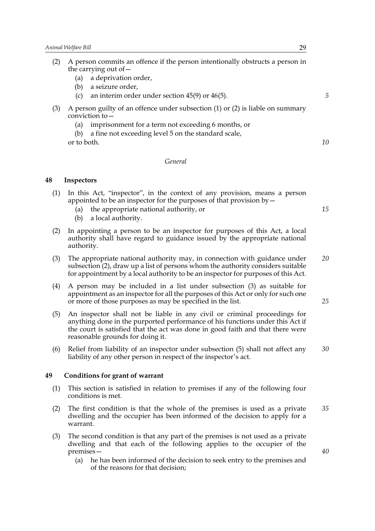- (2) A person commits an offence if the person intentionally obstructs a person in the carrying out of—
	- (a) a deprivation order,
	- (b) a seizure order,
	- (c) an interim order under section 45(9) or 46(5).
- (3) A person guilty of an offence under subsection (1) or (2) is liable on summary conviction to—
	- (a) imprisonment for a term not exceeding 6 months, or
	- (b) a fine not exceeding level 5 on the standard scale, or to both.

#### *General*

#### **48 Inspectors**

- (1) In this Act, "inspector", in the context of any provision, means a person appointed to be an inspector for the purposes of that provision by  $-$ 
	- (a) the appropriate national authority, or
	- (b) a local authority.
- (2) In appointing a person to be an inspector for purposes of this Act, a local authority shall have regard to guidance issued by the appropriate national authority.
- (3) The appropriate national authority may, in connection with guidance under subsection (2), draw up a list of persons whom the authority considers suitable for appointment by a local authority to be an inspector for purposes of this Act. *20*
- (4) A person may be included in a list under subsection (3) as suitable for appointment as an inspector for all the purposes of this Act or only for such one or more of those purposes as may be specified in the list.
- (5) An inspector shall not be liable in any civil or criminal proceedings for anything done in the purported performance of his functions under this Act if the court is satisfied that the act was done in good faith and that there were reasonable grounds for doing it.
- (6) Relief from liability of an inspector under subsection (5) shall not affect any liability of any other person in respect of the inspector's act. *30*

### **49 Conditions for grant of warrant**

- (1) This section is satisfied in relation to premises if any of the following four conditions is met.
- (2) The first condition is that the whole of the premises is used as a private dwelling and the occupier has been informed of the decision to apply for a warrant. *35*
- (3) The second condition is that any part of the premises is not used as a private dwelling and that each of the following applies to the occupier of the premises—
	- (a) he has been informed of the decision to seek entry to the premises and of the reasons for that decision;

*5*

*10*

*15*

*25*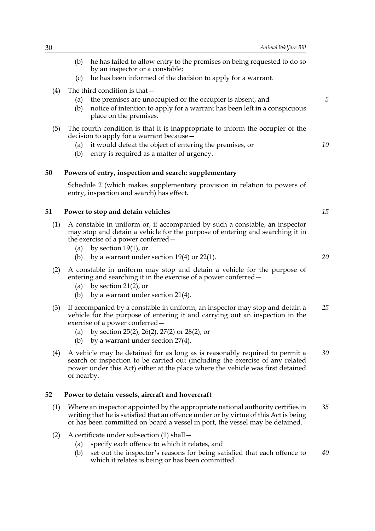- (b) he has failed to allow entry to the premises on being requested to do so by an inspector or a constable;
- (c) he has been informed of the decision to apply for a warrant.
- (4) The third condition is that—
	- (a) the premises are unoccupied or the occupier is absent, and
	- (b) notice of intention to apply for a warrant has been left in a conspicuous place on the premises.
- (5) The fourth condition is that it is inappropriate to inform the occupier of the decision to apply for a warrant because—
	- (a) it would defeat the object of entering the premises, or
	- (b) entry is required as a matter of urgency.

#### **50 Powers of entry, inspection and search: supplementary**

Schedule 2 (which makes supplementary provision in relation to powers of entry, inspection and search) has effect.

#### **51 Power to stop and detain vehicles**

- (1) A constable in uniform or, if accompanied by such a constable, an inspector may stop and detain a vehicle for the purpose of entering and searching it in the exercise of a power conferred—
	- (a) by section 19(1), or
	- (b) by a warrant under section  $19(4)$  or  $22(1)$ .
- (2) A constable in uniform may stop and detain a vehicle for the purpose of entering and searching it in the exercise of a power conferred—
	- (a) by section  $21(2)$ , or
	- (b) by a warrant under section  $21(4)$ .
- (3) If accompanied by a constable in uniform, an inspector may stop and detain a vehicle for the purpose of entering it and carrying out an inspection in the exercise of a power conferred— *25*
	- (a) by section 25(2), 26(2), 27(2) or 28(2), or
	- (b) by a warrant under section 27(4).
- (4) A vehicle may be detained for as long as is reasonably required to permit a search or inspection to be carried out (including the exercise of any related power under this Act) either at the place where the vehicle was first detained or nearby. *30*

#### **52 Power to detain vessels, aircraft and hovercraft**

- (1) Where an inspector appointed by the appropriate national authority certifies in writing that he is satisfied that an offence under or by virtue of this Act is being or has been committed on board a vessel in port, the vessel may be detained. *35*
- (2) A certificate under subsection (1) shall—
	- (a) specify each offence to which it relates, and
	- (b) set out the inspector's reasons for being satisfied that each offence to which it relates is being or has been committed. *40*

*15*

*5*

*10*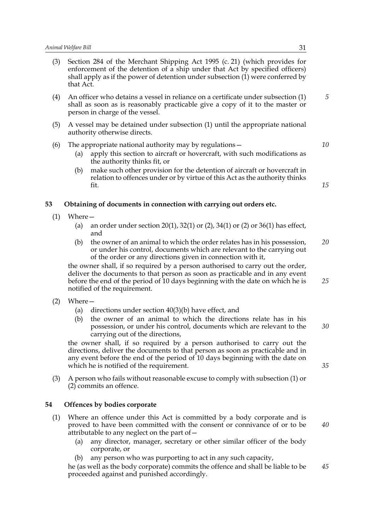- (3) Section 284 of the Merchant Shipping Act 1995 (c. 21) (which provides for enforcement of the detention of a ship under that Act by specified officers) shall apply as if the power of detention under subsection  $(i)$  were conferred by that Act.
- (4) An officer who detains a vessel in reliance on a certificate under subsection (1) shall as soon as is reasonably practicable give a copy of it to the master or person in charge of the vessel.
- (5) A vessel may be detained under subsection (1) until the appropriate national authority otherwise directs.
- (6) The appropriate national authority may by regulations—
	- (a) apply this section to aircraft or hovercraft, with such modifications as the authority thinks fit, or
	- (b) make such other provision for the detention of aircraft or hovercraft in relation to offences under or by virtue of this Act as the authority thinks fit.

### **53 Obtaining of documents in connection with carrying out orders etc.**

- (1) Where—
	- (a) an order under section 20(1), 32(1) or (2), 34(1) or (2) or 36(1) has effect, and
	- (b) the owner of an animal to which the order relates has in his possession, or under his control, documents which are relevant to the carrying out of the order or any directions given in connection with it, *20*

the owner shall, if so required by a person authorised to carry out the order, deliver the documents to that person as soon as practicable and in any event before the end of the period of 10 days beginning with the date on which he is notified of the requirement.

- (2) Where—
	- (a) directions under section 40(3)(b) have effect, and
	- (b) the owner of an animal to which the directions relate has in his possession, or under his control, documents which are relevant to the carrying out of the directions, *30*

the owner shall, if so required by a person authorised to carry out the directions, deliver the documents to that person as soon as practicable and in any event before the end of the period of 10 days beginning with the date on which he is notified of the requirement.

(3) A person who fails without reasonable excuse to comply with subsection (1) or (2) commits an offence.

### **54 Offences by bodies corporate**

- (1) Where an offence under this Act is committed by a body corporate and is proved to have been committed with the consent or connivance of or to be attributable to any neglect on the part of  $-$ 
	- (a) any director, manager, secretary or other similar officer of the body corporate, or
	- any person who was purporting to act in any such capacity,

he (as well as the body corporate) commits the offence and shall be liable to be proceeded against and punished accordingly. *45*

*5*

*10*

*15*

*35*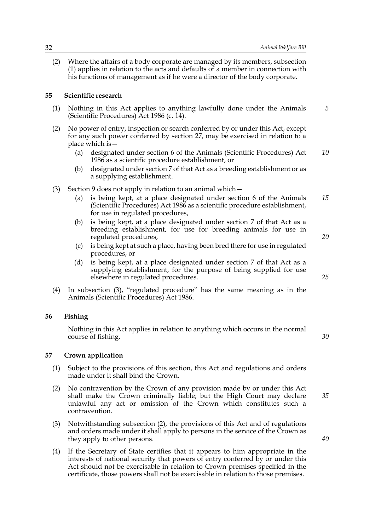(2) Where the affairs of a body corporate are managed by its members, subsection (1) applies in relation to the acts and defaults of a member in connection with his functions of management as if he were a director of the body corporate.

#### **55 Scientific research**

- (1) Nothing in this Act applies to anything lawfully done under the Animals (Scientific Procedures) Act 1986 (c. 14).
- (2) No power of entry, inspection or search conferred by or under this Act, except for any such power conferred by section 27, may be exercised in relation to a place which is—
	- (a) designated under section 6 of the Animals (Scientific Procedures) Act 1986 as a scientific procedure establishment, or *10*
	- (b) designated under section 7 of that Act as a breeding establishment or as a supplying establishment.
- (3) Section 9 does not apply in relation to an animal which—
	- (a) is being kept, at a place designated under section 6 of the Animals (Scientific Procedures) Act 1986 as a scientific procedure establishment, for use in regulated procedures, *15*
	- (b) is being kept, at a place designated under section 7 of that Act as a breeding establishment, for use for breeding animals for use in regulated procedures,
	- (c) is being kept at such a place, having been bred there for use in regulated procedures, or
	- (d) is being kept, at a place designated under section 7 of that Act as a supplying establishment, for the purpose of being supplied for use elsewhere in regulated procedures.
- (4) In subsection (3), "regulated procedure" has the same meaning as in the Animals (Scientific Procedures) Act 1986.

#### **56 Fishing**

Nothing in this Act applies in relation to anything which occurs in the normal course of fishing.

**57 Crown application**

- (1) Subject to the provisions of this section, this Act and regulations and orders made under it shall bind the Crown.
- (2) No contravention by the Crown of any provision made by or under this Act shall make the Crown criminally liable; but the High Court may declare unlawful any act or omission of the Crown which constitutes such a contravention.
- (3) Notwithstanding subsection (2), the provisions of this Act and of regulations and orders made under it shall apply to persons in the service of the Crown as they apply to other persons.
- (4) If the Secretary of State certifies that it appears to him appropriate in the interests of national security that powers of entry conferred by or under this Act should not be exercisable in relation to Crown premises specified in the certificate, those powers shall not be exercisable in relation to those premises.

*25*

*20*

*5*

*30*

*35*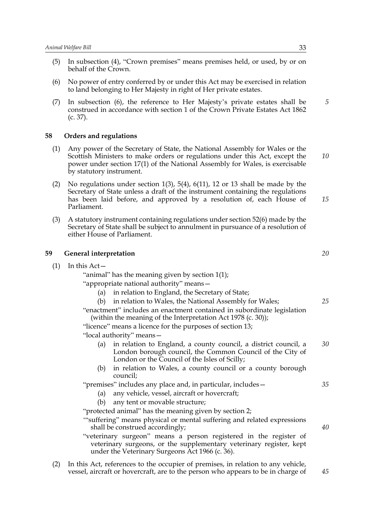- (5) In subsection (4), "Crown premises" means premises held, or used, by or on behalf of the Crown.
- (6) No power of entry conferred by or under this Act may be exercised in relation to land belonging to Her Majesty in right of Her private estates.
- (7) In subsection (6), the reference to Her Majesty's private estates shall be construed in accordance with section 1 of the Crown Private Estates Act 1862 (c. 37).

#### **58 Orders and regulations**

- (1) Any power of the Secretary of State, the National Assembly for Wales or the Scottish Ministers to make orders or regulations under this Act, except the power under section 17(1) of the National Assembly for Wales, is exercisable by statutory instrument.
- (2) No regulations under section 1(3), 5(4), 6(11), 12 or 13 shall be made by the Secretary of State unless a draft of the instrument containing the regulations has been laid before, and approved by a resolution of, each House of Parliament.
- (3) A statutory instrument containing regulations under section 52(6) made by the Secretary of State shall be subject to annulment in pursuance of a resolution of either House of Parliament.

#### **59 General interpretation**

 $(1)$  In this Act –

"animal" has the meaning given by section 1(1);

"appropriate national authority" means—

- (a) in relation to England, the Secretary of State;
- (b) in relation to Wales, the National Assembly for Wales;

"enactment" includes an enactment contained in subordinate legislation (within the meaning of the Interpretation Act 1978 (c. 30));

"licence" means a licence for the purposes of section 13;

"local authority" means—

- (a) in relation to England, a county council, a district council, a London borough council, the Common Council of the City of London or the Council of the Isles of Scilly; *30*
- (b) in relation to Wales, a county council or a county borough council;

"premises" includes any place and, in particular, includes— *35*

- (a) any vehicle, vessel, aircraft or hovercraft;
- (b) any tent or movable structure;

"protected animal" has the meaning given by section 2;

'"suffering" means physical or mental suffering and related expressions shall be construed accordingly;

- "veterinary surgeon" means a person registered in the register of veterinary surgeons, or the supplementary veterinary register, kept under the Veterinary Surgeons Act 1966 (c. 36).
- (2) In this Act, references to the occupier of premises, in relation to any vehicle, vessel, aircraft or hovercraft, are to the person who appears to be in charge of *45*

*20*

*25*

*40*

*5*

*10*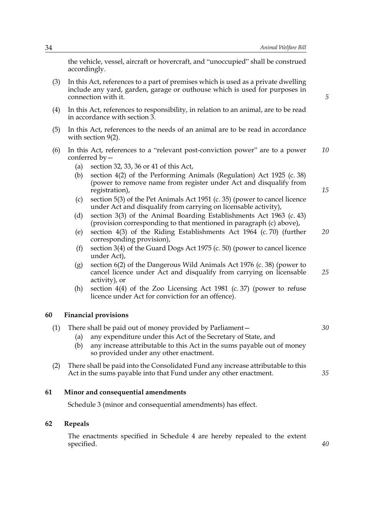the vehicle, vessel, aircraft or hovercraft, and "unoccupied" shall be construed accordingly.

- (3) In this Act, references to a part of premises which is used as a private dwelling include any yard, garden, garage or outhouse which is used for purposes in connection with it.
- (4) In this Act, references to responsibility, in relation to an animal, are to be read in accordance with section 3.
- (5) In this Act, references to the needs of an animal are to be read in accordance with section 9(2).
- (6) In this Act, references to a "relevant post-conviction power" are to a power conferred by— *10*
	- (a) section 32, 33, 36 or 41 of this Act,
	- (b) section 4(2) of the Performing Animals (Regulation) Act 1925 (c. 38) (power to remove name from register under Act and disqualify from registration),
	- (c) section 5(3) of the Pet Animals Act 1951 (c. 35) (power to cancel licence under Act and disqualify from carrying on licensable activity),
	- (d) section 3(3) of the Animal Boarding Establishments Act 1963 (c. 43) (provision corresponding to that mentioned in paragraph (c) above),
	- (e) section 4(3) of the Riding Establishments Act 1964 (c. 70) (further corresponding provision), *20*
	- (f) section 3(4) of the Guard Dogs Act 1975 (c. 50) (power to cancel licence under Act),
	- (g) section 6(2) of the Dangerous Wild Animals Act 1976 (c. 38) (power to cancel licence under Act and disqualify from carrying on licensable activity), or *25*
	- (h) section  $4(4)$  of the Zoo Licensing Act 1981 (c. 37) (power to refuse licence under Act for conviction for an offence).

#### **60 Financial provisions**

| There shall be paid out of money provided by Parliament-                                                                                                     | 30 |
|--------------------------------------------------------------------------------------------------------------------------------------------------------------|----|
| any expenditure under this Act of the Secretary of State, and<br>(a)                                                                                         |    |
| any increase attributable to this Act in the sums payable out of money<br>(b)<br>so provided under any other enactment.                                      |    |
| There shall be paid into the Consolidated Fund any increase attributable to this<br>(2)<br>Act in the sums payable into that Fund under any other enactment. | 35 |

### **61 Minor and consequential amendments**

Schedule 3 (minor and consequential amendments) has effect.

### **62 Repeals**

The enactments specified in Schedule 4 are hereby repealed to the extent specified.

*15*

*40*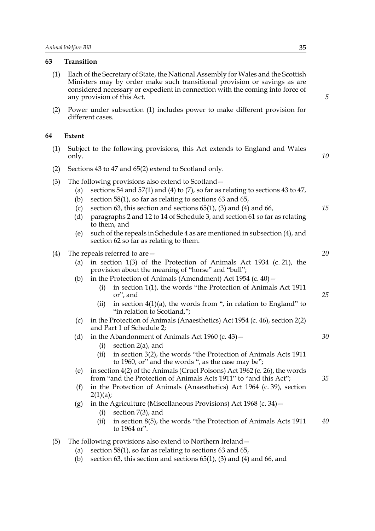### **63 Transition**

- (1) Each of the Secretary of State, the National Assembly for Wales and the Scottish Ministers may by order make such transitional provision or savings as are considered necessary or expedient in connection with the coming into force of any provision of this Act.
- (2) Power under subsection (1) includes power to make different provision for different cases.

### **64 Extent**

|       |  | (1) Subject to the following provisions, this Act extends to England and Wales |  |  |  |  |
|-------|--|--------------------------------------------------------------------------------|--|--|--|--|
| only. |  |                                                                                |  |  |  |  |

- (2) Sections 43 to 47 and 65(2) extend to Scotland only.
- (3) The following provisions also extend to Scotland—
	- (a) sections 54 and 57(1) and (4) to (7), so far as relating to sections 43 to 47,
	- (b) section 58(1), so far as relating to sections 63 and 65,
	- (c) section 63, this section and sections  $65(1)$ ,  $(3)$  and  $(4)$  and  $66$ ,
	- (d) paragraphs 2 and 12 to 14 of Schedule 3, and section 61 so far as relating to them, and
	- (e) such of the repeals in Schedule 4 as are mentioned in subsection (4), and section 62 so far as relating to them.
- (4) The repeals referred to are—
	- (a) in section  $1(3)$  of the Protection of Animals Act  $1934$  (c. 21), the provision about the meaning of "horse" and "bull";
	- (b) in the Protection of Animals (Amendment) Act  $1954$  (c.  $40$ )  $-$ 
		- (i) in section 1(1), the words "the Protection of Animals Act 1911 or", and
		- (ii) in section  $4(1)(a)$ , the words from ", in relation to England" to "in relation to Scotland,";
	- (c) in the Protection of Animals (Anaesthetics) Act 1954 (c. 46), section 2(2) and Part 1 of Schedule 2;
	- (d) in the Abandonment of Animals Act 1960 (c. 43)  $-$ 
		- (i) section 2(a), and
		- (ii) in section 3(2), the words "the Protection of Animals Acts 1911 to 1960, or" and the words ", as the case may be";
	- (e) in section 4(2) of the Animals (Cruel Poisons) Act 1962 (c. 26), the words from "and the Protection of Animals Acts 1911" to "and this Act";
	- (f) in the Protection of Animals (Anaesthetics) Act 1964 (c. 39), section  $2(1)(a)$ ;
	- (g) in the Agriculture (Miscellaneous Provisions) Act 1968 (c. 34)—
		- (i) section 7(3), and
		- (ii) in section 8(5), the words "the Protection of Animals Acts 1911 to 1964 or". *40*
- (5) The following provisions also extend to Northern Ireland—
	- (a) section 58(1), so far as relating to sections 63 and 65,
	- (b) section 63, this section and sections  $65(1)$ , (3) and (4) and 66, and

*5*

*10*

*15*

*20*

*25*

*30*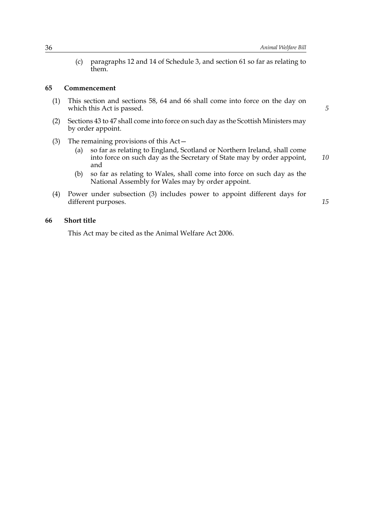(c) paragraphs 12 and 14 of Schedule 3, and section 61 so far as relating to them.

### **65 Commencement**

- (1) This section and sections 58, 64 and 66 shall come into force on the day on which this Act is passed.
- (2) Sections 43 to 47 shall come into force on such day as the Scottish Ministers may by order appoint.
- (3) The remaining provisions of this Act—
	- (a) so far as relating to England, Scotland or Northern Ireland, shall come into force on such day as the Secretary of State may by order appoint, and
	- (b) so far as relating to Wales, shall come into force on such day as the National Assembly for Wales may by order appoint.
- (4) Power under subsection (3) includes power to appoint different days for different purposes.

### **66 Short title**

This Act may be cited as the Animal Welfare Act 2006.

*5*

*15*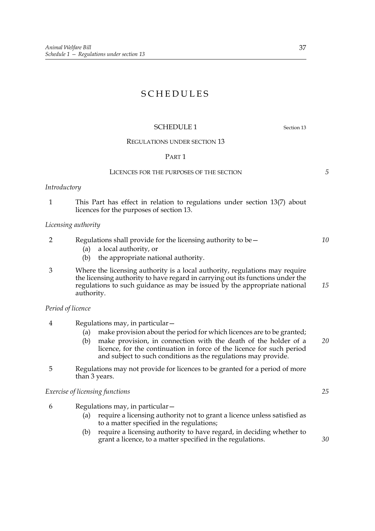## SCHEDULES

### SCHEDULE 1 Section 13

#### REGULATIONS UNDER SECTION 13

### PART 1

#### LICENCES FOR THE PURPOSES OF THE SECTION

### *Introductory*

1 This Part has effect in relation to regulations under section 13(7) about licences for the purposes of section 13.

### *Licensing authority*

|  |  | Regulations shall provide for the licensing authority to be $-$ |  |
|--|--|-----------------------------------------------------------------|--|
|--|--|-----------------------------------------------------------------|--|

- (a) a local authority, or
- (b) the appropriate national authority.
- 3 Where the licensing authority is a local authority, regulations may require the licensing authority to have regard in carrying out its functions under the regulations to such guidance as may be issued by the appropriate national authority. *15*

#### *Period of licence*

- 4 Regulations may, in particular—
	- (a) make provision about the period for which licences are to be granted;
	- (b) make provision, in connection with the death of the holder of a licence, for the continuation in force of the licence for such period and subject to such conditions as the regulations may provide.
- 5 Regulations may not provide for licences to be granted for a period of more than 3 years.

### *Exercise of licensing functions*

- 6 Regulations may, in particular—
	- (a) require a licensing authority not to grant a licence unless satisfied as to a matter specified in the regulations;
	- (b) require a licensing authority to have regard, in deciding whether to grant a licence, to a matter specified in the regulations.

*25*

*20*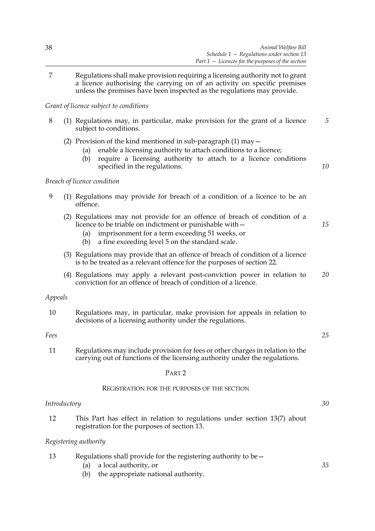7 Regulations shall make provision requiring a licensing authority not to grant a licence authorising the carrying on of an activity on specific premises unless the premises have been inspected as the regulations may provide.

### *Grant of licence subject to conditions*

- 8 (1) Regulations may, in particular, make provision for the grant of a licence subject to conditions. *5*
	- (2) Provision of the kind mentioned in sub-paragraph  $(1)$  may  $-$ 
		- (a) enable a licensing authority to attach conditions to a licence;
		- (b) require a licensing authority to attach to a licence conditions specified in the regulations.

### *Breach of licence condition*

- 9 (1) Regulations may provide for breach of a condition of a licence to be an offence.
	- (2) Regulations may not provide for an offence of breach of condition of a licence to be triable on indictment or punishable with—
		- (a) imprisonment for a term exceeding 51 weeks, or
		- (b) a fine exceeding level 5 on the standard scale.
	- (3) Regulations may provide that an offence of breach of condition of a licence is to be treated as a relevant offence for the purposes of section 22.
	- (4) Regulations may apply a relevant post-conviction power in relation to conviction for an offence of breach of condition of a licence. *20*

#### *Appeals*

10 Regulations may, in particular, make provision for appeals in relation to decisions of a licensing authority under the regulations.

#### *Fees*

*25*

*30*

*35*

*10*

*15*

11 Regulations may include provision for fees or other charges in relation to the carrying out of functions of the licensing authority under the regulations.

#### PART 2

#### REGISTRATION FOR THE PURPOSES OF THE SECTION

### *Introductory*

12 This Part has effect in relation to regulations under section 13(7) about registration for the purposes of section 13.

### *Registering authority*

| 13 | Regulations shall provide for the registering authority to be $-$ |  |
|----|-------------------------------------------------------------------|--|
|    |                                                                   |  |

- (a) a local authority, or
- (b) the appropriate national authority.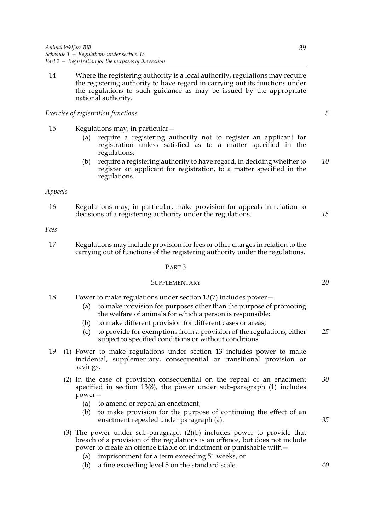14 Where the registering authority is a local authority, regulations may require the registering authority to have regard in carrying out its functions under the regulations to such guidance as may be issued by the appropriate national authority.

### *Exercise of registration functions*

- 15 Regulations may, in particular—
	- (a) require a registering authority not to register an applicant for registration unless satisfied as to a matter specified in the regulations;
	- (b) require a registering authority to have regard, in deciding whether to register an applicant for registration, to a matter specified in the regulations. *10*

#### *Appeals*

16 Regulations may, in particular, make provision for appeals in relation to decisions of a registering authority under the regulations.

#### *Fees*

17 Regulations may include provision for fees or other charges in relation to the carrying out of functions of the registering authority under the regulations.

#### PART 3

### **SUPPLEMENTARY**

- 18 Power to make regulations under section 13(7) includes power—
	- (a) to make provision for purposes other than the purpose of promoting the welfare of animals for which a person is responsible;
	- (b) to make different provision for different cases or areas;
	- (c) to provide for exemptions from a provision of the regulations, either subject to specified conditions or without conditions. *25*
- 19 (1) Power to make regulations under section 13 includes power to make incidental, supplementary, consequential or transitional provision or savings.
	- (2) In the case of provision consequential on the repeal of an enactment specified in section 13(8), the power under sub-paragraph (1) includes power— *30*
		- (a) to amend or repeal an enactment;
		- (b) to make provision for the purpose of continuing the effect of an enactment repealed under paragraph (a).
	- (3) The power under sub-paragraph (2)(b) includes power to provide that breach of a provision of the regulations is an offence, but does not include power to create an offence triable on indictment or punishable with—
		- (a) imprisonment for a term exceeding 51 weeks, or
		- (b) a fine exceeding level 5 on the standard scale.

*5*

*15*

*20*

*35*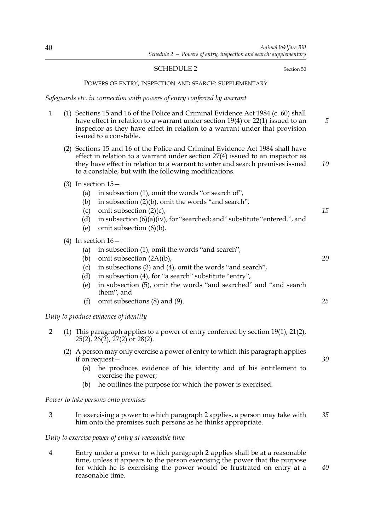### SCHEDULE 2 Section 50

*40*

#### POWERS OF ENTRY, INSPECTION AND SEARCH: SUPPLEMENTARY

### *Safeguards etc. in connection with powers of entry conferred by warrant*

| $\mathbf{1}$   |                                        | (1) Sections 15 and 16 of the Police and Criminal Evidence Act 1984 (c. 60) shall<br>have effect in relation to a warrant under section $19(4)$ or $22(1)$ issued to an<br>inspector as they have effect in relation to a warrant under that provision<br>issued to a constable.                                                            | $\overline{5}$ |
|----------------|----------------------------------------|---------------------------------------------------------------------------------------------------------------------------------------------------------------------------------------------------------------------------------------------------------------------------------------------------------------------------------------------|----------------|
|                |                                        | (2) Sections 15 and 16 of the Police and Criminal Evidence Act 1984 shall have<br>effect in relation to a warrant under section $27(4)$ issued to an inspector as<br>they have effect in relation to a warrant to enter and search premises issued<br>to a constable, but with the following modifications.                                 | 10             |
|                | (a)<br>(b)<br>(c)<br>(d)<br>(e)        | (3) In section $15-$<br>in subsection (1), omit the words "or search of",<br>in subsection (2)(b), omit the words "and search",<br>omit subsection $(2)(c)$ ,<br>in subsection $(6)(a)(iv)$ , for "searched; and" substitute "entered.", and<br>omit subsection (6)(b).                                                                     | 15             |
|                | (a)<br>(b)<br>(c)<br>(d)<br>(e)<br>(f) | (4) In section $16-$<br>in subsection (1), omit the words "and search",<br>omit subsection (2A)(b),<br>in subsections (3) and (4), omit the words "and search",<br>in subsection (4), for "a search" substitute "entry",<br>in subsection (5), omit the words "and searched" and "and search<br>them", and<br>omit subsections (8) and (9). | 20<br>25       |
|                |                                        | Duty to produce evidence of identity                                                                                                                                                                                                                                                                                                        |                |
| $\overline{2}$ |                                        | (1) This paragraph applies to a power of entry conferred by section $19(1)$ , $21(2)$ ,<br>$25(2)$ , $26(2)$ , $27(2)$ or $28(2)$ .                                                                                                                                                                                                         |                |
|                | (a)<br>(b)                             | (2) A person may only exercise a power of entry to which this paragraph applies<br>if on request $-$<br>he produces evidence of his identity and of his entitlement to<br>exercise the power;<br>he outlines the purpose for which the power is exercised.                                                                                  | 30             |

*Power to take persons onto premises*

3 In exercising a power to which paragraph 2 applies, a person may take with him onto the premises such persons as he thinks appropriate. *35*

### *Duty to exercise power of entry at reasonable time*

4 Entry under a power to which paragraph 2 applies shall be at a reasonable time, unless it appears to the person exercising the power that the purpose for which he is exercising the power would be frustrated on entry at a reasonable time.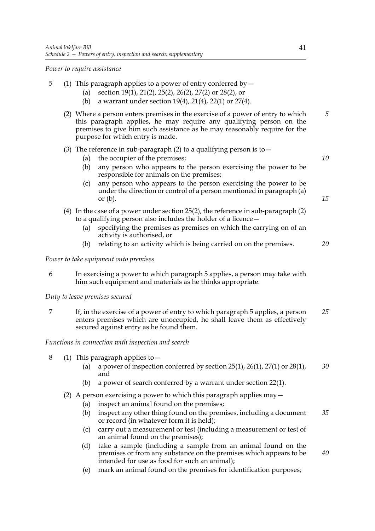*Power to require assistance*

- 5 (1) This paragraph applies to a power of entry conferred by  $-$ 
	- (a) section 19(1), 21(2), 25(2), 26(2), 27(2) or 28(2), or
	- (b) a warrant under section 19(4), 21(4), 22(1) or 27(4).
	- (2) Where a person enters premises in the exercise of a power of entry to which this paragraph applies, he may require any qualifying person on the premises to give him such assistance as he may reasonably require for the purpose for which entry is made. *5*

### (3) The reference in sub-paragraph (2) to a qualifying person is to  $-$

- (a) the occupier of the premises;
- (b) any person who appears to the person exercising the power to be responsible for animals on the premises;
- (c) any person who appears to the person exercising the power to be under the direction or control of a person mentioned in paragraph (a) or  $(b)$ .
- (4) In the case of a power under section 25(2), the reference in sub-paragraph (2) to a qualifying person also includes the holder of a licence—
	- (a) specifying the premises as premises on which the carrying on of an activity is authorised, or
	- (b) relating to an activity which is being carried on on the premises.

*Power to take equipment onto premises*

6 In exercising a power to which paragraph 5 applies, a person may take with him such equipment and materials as he thinks appropriate.

### *Duty to leave premises secured*

7 If, in the exercise of a power of entry to which paragraph 5 applies, a person enters premises which are unoccupied, he shall leave them as effectively secured against entry as he found them. *25*

### *Functions in connection with inspection and search*

- 8 (1) This paragraph applies to—
	- (a) a power of inspection conferred by section  $25(1)$ ,  $26(1)$ ,  $27(1)$  or  $28(1)$ , and *30*
	- (b) a power of search conferred by a warrant under section 22(1).
	- (2) A person exercising a power to which this paragraph applies may—
		- (a) inspect an animal found on the premises;
		- (b) inspect any other thing found on the premises, including a document or record (in whatever form it is held); *35*
		- (c) carry out a measurement or test (including a measurement or test of an animal found on the premises);
		- (d) take a sample (including a sample from an animal found on the premises or from any substance on the premises which appears to be intended for use as food for such an animal); *40*
		- (e) mark an animal found on the premises for identification purposes;

*15*

*20*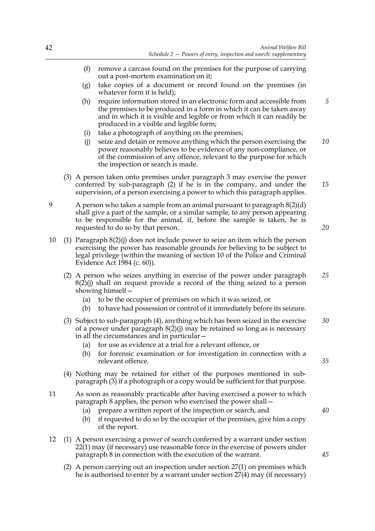- (f) remove a carcass found on the premises for the purpose of carrying out a post-mortem examination on it;
- (g) take copies of a document or record found on the premises (in whatever form it is held);
- (h) require information stored in an electronic form and accessible from the premises to be produced in a form in which it can be taken away and in which it is visible and legible or from which it can readily be produced in a visible and legible form; *5*
- (i) take a photograph of anything on the premises;
- (j) seize and detain or remove anything which the person exercising the power reasonably believes to be evidence of any non-compliance, or of the commission of any offence, relevant to the purpose for which the inspection or search is made. *10*
- (3) A person taken onto premises under paragraph 3 may exercise the power conferred by sub-paragraph (2) if he is in the company, and under the supervision, of a person exercising a power to which this paragraph applies. *15*
- 9 A person who takes a sample from an animal pursuant to paragraph 8(2)(d) shall give a part of the sample, or a similar sample, to any person appearing to be responsible for the animal, if, before the sample is taken, he is requested to do so by that person.

*20*

- 10 (1) Paragraph 8(2)(j) does not include power to seize an item which the person exercising the power has reasonable grounds for believing to be subject to legal privilege (within the meaning of section 10 of the Police and Criminal Evidence Act 1984 (c. 60)).
	- (2) A person who seizes anything in exercise of the power under paragraph  $8(2)(i)$  shall on request provide a record of the thing seized to a person showing himself— *25*
		- (a) to be the occupier of premises on which it was seized, or
		- (b) to have had possession or control of it immediately before its seizure.
	- (3) Subject to sub-paragraph (4), anything which has been seized in the exercise of a power under paragraph  $8(2)(i)$  may be retained so long as is necessary in all the circumstances and in particular— *30*
		- (a) for use as evidence at a trial for a relevant offence, or
		- (b) for forensic examination or for investigation in connection with a relevant offence.
	- (4) Nothing may be retained for either of the purposes mentioned in subparagraph (3) if a photograph or a copy would be sufficient for that purpose.
- 11 As soon as reasonably practicable after having exercised a power to which paragraph 8 applies, the person who exercised the power shall—
	- (a) prepare a written report of the inspection or search, and
	- (b) if requested to do so by the occupier of the premises, give him a copy of the report.
- 12 (1) A person exercising a power of search conferred by a warrant under section 22(1) may (if necessary) use reasonable force in the exercise of powers under paragraph 8 in connection with the execution of the warrant.
	- (2) A person carrying out an inspection under section 27(1) on premises which he is authorised to enter by a warrant under section 27(4) may (if necessary)

*45*

*40*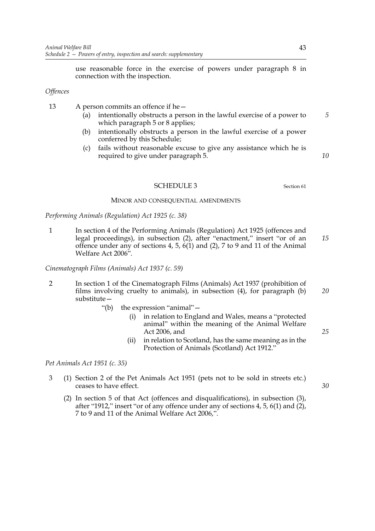use reasonable force in the exercise of powers under paragraph 8 in connection with the inspection.

### *Offences*

13 A person commits an offence if he—

- (a) intentionally obstructs a person in the lawful exercise of a power to which paragraph 5 or 8 applies;
- (b) intentionally obstructs a person in the lawful exercise of a power conferred by this Schedule;
- (c) fails without reasonable excuse to give any assistance which he is required to give under paragraph 5.

#### SCHEDULE 3 Section 61

#### MINOR AND CONSEQUENTIAL AMENDMENTS

*Performing Animals (Regulation) Act 1925 (c. 38)*

1 In section 4 of the Performing Animals (Regulation) Act 1925 (offences and legal proceedings), in subsection (2), after "enactment," insert "or of an offence under any of sections 4, 5, 6(1) and (2), 7 to 9 and 11 of the Animal Welfare Act 2006". *15*

*Cinematograph Films (Animals) Act 1937 (c. 59)*

- 2 In section 1 of the Cinematograph Films (Animals) Act 1937 (prohibition of films involving cruelty to animals), in subsection (4), for paragraph (b) substitute— *20*
	- "(b) the expression "animal"—
		- (i) in relation to England and Wales, means a "protected animal" within the meaning of the Animal Welfare Act 2006, and
		- (ii) in relation to Scotland, has the same meaning as in the Protection of Animals (Scotland) Act 1912."

*Pet Animals Act 1951 (c. 35)*

- 3 (1) Section 2 of the Pet Animals Act 1951 (pets not to be sold in streets etc.) ceases to have effect.
	- (2) In section 5 of that Act (offences and disqualifications), in subsection (3), after "1912," insert "or of any offence under any of sections 4, 5, 6(1) and (2), 7 to 9 and 11 of the Animal Welfare Act 2006,".

*5*

*10*

*25*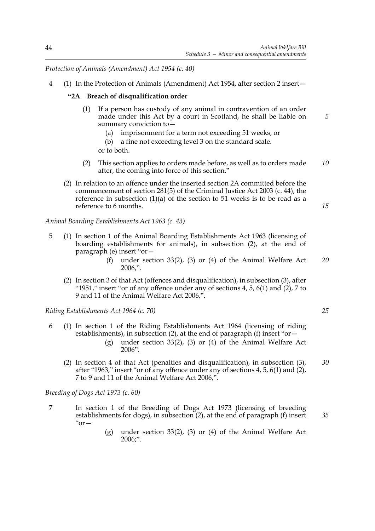*Protection of Animals (Amendment) Act 1954 (c. 40)*

4 (1) In the Protection of Animals (Amendment) Act 1954, after section 2 insert—

### **"2A Breach of disqualification order**

- (1) If a person has custody of any animal in contravention of an order made under this Act by a court in Scotland, he shall be liable on summary conviction to—
	- (a) imprisonment for a term not exceeding 51 weeks, or
	- (b) a fine not exceeding level 3 on the standard scale. or to both.
- (2) This section applies to orders made before, as well as to orders made after, the coming into force of this section." *10*
- (2) In relation to an offence under the inserted section 2A committed before the commencement of section 281(5) of the Criminal Justice Act 2003 (c. 44), the reference in subsection  $(1)(a)$  of the section to 51 weeks is to be read as a reference to 6 months.

*Animal Boarding Establishments Act 1963 (c. 43)*

- 5 (1) In section 1 of the Animal Boarding Establishments Act 1963 (licensing of boarding establishments for animals), in subsection (2), at the end of paragraph (e) insert "or—
	- (f) under section 33(2), (3) or (4) of the Animal Welfare Act 2006,". *20*
	- (2) In section 3 of that Act (offences and disqualification), in subsection (3), after "1951," insert "or of any offence under any of sections 4, 5,  $6(1)$  and  $(2)$ , 7 to 9 and 11 of the Animal Welfare Act 2006,".

*Riding Establishments Act 1964 (c. 70)*

- 6 (1) In section 1 of the Riding Establishments Act 1964 (licensing of riding establishments), in subsection (2), at the end of paragraph (f) insert "or—
	- (g) under section 33(2), (3) or (4) of the Animal Welfare Act 2006".
	- (2) In section 4 of that Act (penalties and disqualification), in subsection (3), after "1963," insert "or of any offence under any of sections 4, 5, 6(1) and (2), 7 to 9 and 11 of the Animal Welfare Act 2006,". *30*

*Breeding of Dogs Act 1973 (c. 60)*

- 7 In section 1 of the Breeding of Dogs Act 1973 (licensing of breeding establishments for dogs), in subsection (2), at the end of paragraph (f) insert  $"or$ *35*
	- (g) under section 33(2), (3) or (4) of the Animal Welfare Act 2006;".

*25*

*5*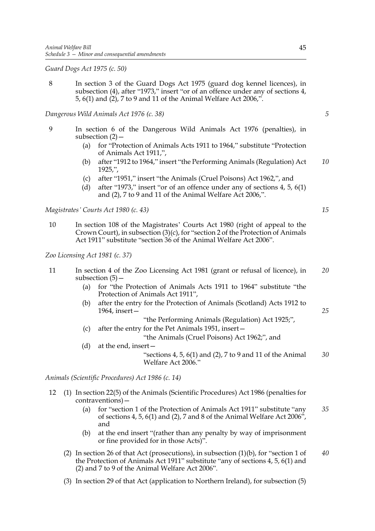*Guard Dogs Act 1975 (c. 50)*

8 In section 3 of the Guard Dogs Act 1975 (guard dog kennel licences), in subsection (4), after "1973," insert "or of an offence under any of sections 4, 5, 6(1) and (2), 7 to 9 and 11 of the Animal Welfare Act 2006,".

*Dangerous Wild Animals Act 1976 (c. 38)*

- 9 In section 6 of the Dangerous Wild Animals Act 1976 (penalties), in subsection  $(2)$  –
	- (a) for "Protection of Animals Acts 1911 to 1964," substitute "Protection of Animals Act 1911,",
	- (b) after "1912 to 1964," insert "the Performing Animals (Regulation) Act 1925,", *10*
	- (c) after "1951," insert "the Animals (Cruel Poisons) Act 1962,", and
	- (d) after "1973," insert "or of an offence under any of sections 4, 5, 6(1) and (2), 7 to 9 and 11 of the Animal Welfare Act 2006,".

*Magistrates' Courts Act 1980 (c. 43)*

10 In section 108 of the Magistrates' Courts Act 1980 (right of appeal to the Crown Court), in subsection (3)(c), for "section 2 of the Protection of Animals Act 1911" substitute "section 36 of the Animal Welfare Act 2006".

*Zoo Licensing Act 1981 (c. 37)*

- 11 In section 4 of the Zoo Licensing Act 1981 (grant or refusal of licence), in subsection  $(5)$  – *20*
	- (a) for "the Protection of Animals Acts 1911 to 1964" substitute "the Protection of Animals Act 1911",
	- (b) after the entry for the Protection of Animals (Scotland) Acts 1912 to 1964, insert—

"the Performing Animals (Regulation) Act 1925;",

(c) after the entry for the Pet Animals 1951, insert—

"the Animals (Cruel Poisons) Act 1962;", and

(d) at the end, insert—

"sections  $4, 5, 6(1)$  and  $(2), 7$  to  $9$  and  $11$  of the Animal Welfare Act 2006." *30*

*Animals (Scientific Procedures) Act 1986 (c. 14)*

- 12 (1) In section 22(5) of the Animals (Scientific Procedures) Act 1986 (penalties for contraventions)—
	- (a) for "section 1 of the Protection of Animals Act 1911" substitute "any of sections 4, 5, 6(1) and (2), 7 and 8 of the Animal Welfare Act 2006", and *35*
	- (b) at the end insert "(rather than any penalty by way of imprisonment or fine provided for in those Acts)".
	- (2) In section 26 of that Act (prosecutions), in subsection (1)(b), for "section 1 of the Protection of Animals Act 1911" substitute "any of sections 4, 5, 6(1) and (2) and 7 to 9 of the Animal Welfare Act 2006". *40*
	- (3) In section 29 of that Act (application to Northern Ireland), for subsection (5)

*15*

*5*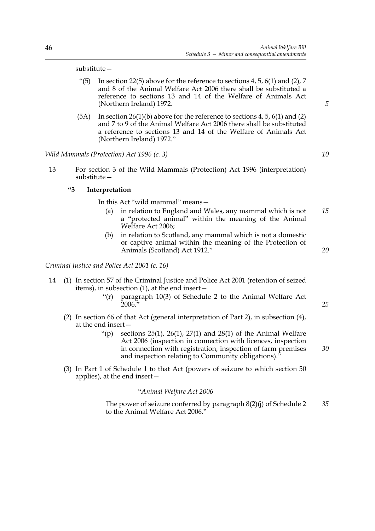substitute—

- "(5) In section 22(5) above for the reference to sections  $4, 5, 6(1)$  and  $(2), 7$ and 8 of the Animal Welfare Act 2006 there shall be substituted a reference to sections 13 and 14 of the Welfare of Animals Act (Northern Ireland) 1972.
- $(5A)$  In section  $26(1)(b)$  above for the reference to sections 4, 5,  $6(1)$  and  $(2)$ and 7 to 9 of the Animal Welfare Act 2006 there shall be substituted a reference to sections 13 and 14 of the Welfare of Animals Act (Northern Ireland) 1972."

*Wild Mammals (Protection) Act 1996 (c. 3)*

13 For section 3 of the Wild Mammals (Protection) Act 1996 (interpretation) substitute—

### **"3 Interpretation**

In this Act "wild mammal" means—

- (a) in relation to England and Wales, any mammal which is not a "protected animal" within the meaning of the Animal Welfare Act 2006; *15*
- (b) in relation to Scotland, any mammal which is not a domestic or captive animal within the meaning of the Protection of Animals (Scotland) Act 1912."

*Criminal Justice and Police Act 2001 (c. 16)*

- 14 (1) In section 57 of the Criminal Justice and Police Act 2001 (retention of seized items), in subsection (1), at the end insert—
	- "(r) paragraph 10(3) of Schedule 2 to the Animal Welfare Act  $2006$ .
	- (2) In section 66 of that Act (general interpretation of Part 2), in subsection (4), at the end insert—
		- "(p) sections  $25(1)$ ,  $26(1)$ ,  $27(1)$  and  $28(1)$  of the Animal Welfare Act 2006 (inspection in connection with licences, inspection in connection with registration, inspection of farm premises and inspection relating to Community obligations)."
	- (3) In Part 1 of Schedule 1 to that Act (powers of seizure to which section 50 applies), at the end insert—

### "*Animal Welfare Act 2006*

The power of seizure conferred by paragraph 8(2)(j) of Schedule 2 to the Animal Welfare Act 2006." *35*

*5*

*10*

*20*

*25*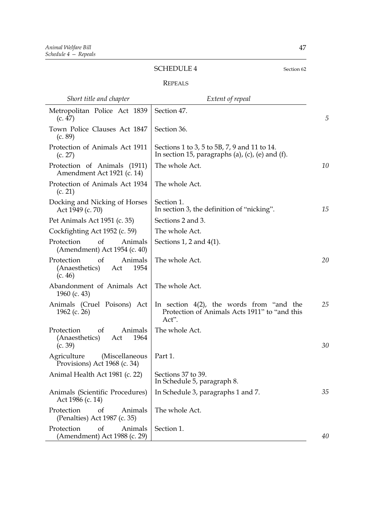### SCHEDULE 4 Section 62

### REPEALS

| Short title and chapter                                                 | Extent of repeal                                                                                      |    |
|-------------------------------------------------------------------------|-------------------------------------------------------------------------------------------------------|----|
| Metropolitan Police Act 1839<br>(c. 47)                                 | Section 47.                                                                                           | 5  |
| Town Police Clauses Act 1847<br>(c. 89)                                 | Section 36.                                                                                           |    |
| Protection of Animals Act 1911<br>(c. 27)                               | Sections 1 to 3, 5 to 5B, 7, 9 and 11 to 14.<br>In section 15, paragraphs (a), (c), (e) and (f).      |    |
| Protection of Animals (1911)<br>Amendment Act 1921 (c. 14)              | The whole Act.                                                                                        | 10 |
| Protection of Animals Act 1934<br>(c. 21)                               | The whole Act.                                                                                        |    |
| Docking and Nicking of Horses<br>Act 1949 (c. 70)                       | Section 1.<br>In section 3, the definition of "nicking".                                              | 15 |
| Pet Animals Act 1951 (c. 35)                                            | Sections 2 and 3.                                                                                     |    |
| Cockfighting Act 1952 (c. 59)                                           | The whole Act.                                                                                        |    |
| Protection<br>of<br>Animals<br>(Amendment) Act 1954 (c. 40)             | Sections 1, 2 and $4(1)$ .                                                                            |    |
| of<br>Animals<br>Protection<br>(Anaesthetics)<br>1954<br>Act<br>(c. 46) | The whole Act.                                                                                        | 20 |
| Abandonment of Animals Act<br>1960 (c. 43)                              | The whole Act.                                                                                        |    |
| Animals (Cruel Poisons) Act<br>1962 (c. 26)                             | In section $4(2)$ , the words from "and the<br>Protection of Animals Acts 1911" to "and this<br>Act". | 25 |
| of<br>Animals<br>Protection<br>(Anaesthetics)<br>1964<br>Act<br>(c. 39) | The whole Act.                                                                                        | 30 |
| Agriculture<br>(Miscellaneous<br>Provisions) Act 1968 (c. 34)           | Part 1.                                                                                               |    |
| Animal Health Act 1981 (c. 22)                                          | Sections 37 to 39.<br>In Schedule 5, paragraph 8.                                                     |    |
| Animals (Scientific Procedures)<br>Act 1986 (c. 14)                     | In Schedule 3, paragraphs 1 and 7.                                                                    | 35 |
| Protection<br>of<br>Animals<br>(Penalties) Act 1987 (c. 35)             | The whole Act.                                                                                        |    |
| of<br>Protection<br>Animals<br>(Amendment) Act 1988 (c. 29)             | Section 1.                                                                                            | 40 |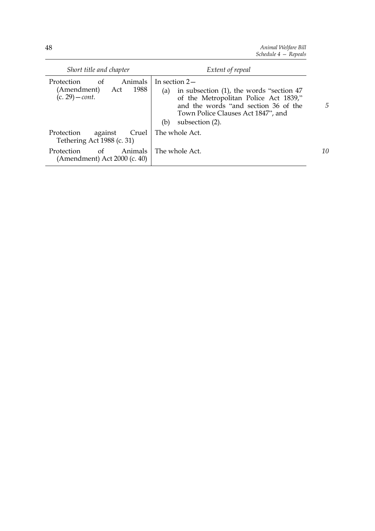*Animal Welfare Bill Schedule 4 — Repeals*

| Short title and chapter                                                        | Extent of repeal                                                                                                                                                                                                    |    |
|--------------------------------------------------------------------------------|---------------------------------------------------------------------------------------------------------------------------------------------------------------------------------------------------------------------|----|
| Protection<br>Animals<br>of<br>1988<br>(Amendment)<br>Act<br>$(c. 29) - cont.$ | In section $2-$<br>in subsection (1), the words "section 47<br>(a)<br>of the Metropolitan Police Act 1839,"<br>and the words "and section 36 of the<br>Town Police Clauses Act 1847", and<br>subsection (2).<br>(b) | 5  |
| Protection<br>against<br>Tethering Act 1988 (c. 31)                            | Cruel   The whole Act.                                                                                                                                                                                              |    |
| of<br>Animals<br>Protection<br>(Amendment) Act 2000 (c. 40)                    | The whole Act.                                                                                                                                                                                                      | 10 |